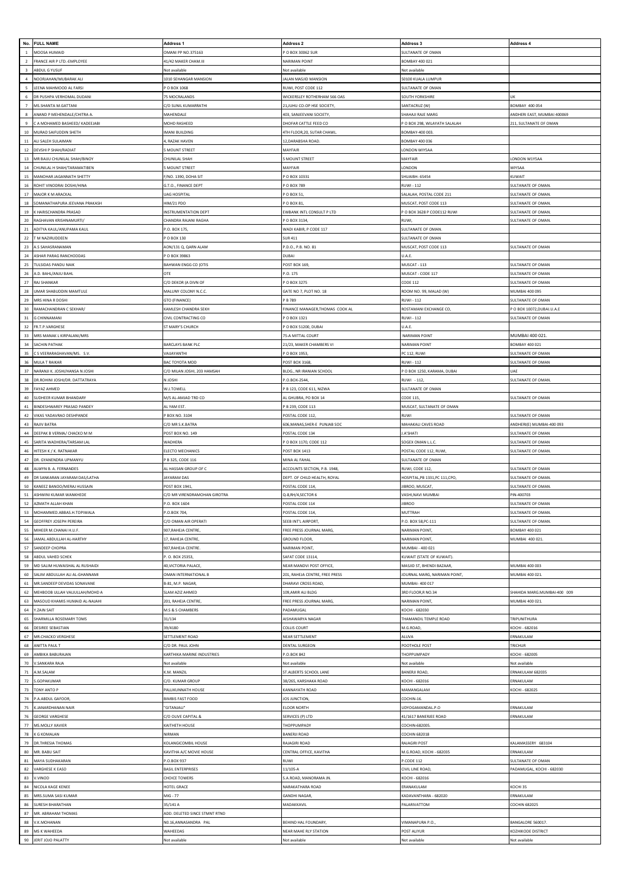| No.            | <b>FULL NAME</b>                                                | Address <sub>1</sub>                        | Address <sub>2</sub>                             | Address 3                                                | Address 4                               |
|----------------|-----------------------------------------------------------------|---------------------------------------------|--------------------------------------------------|----------------------------------------------------------|-----------------------------------------|
|                | <b>MOOSA HUMAID</b>                                             | <b>DMANI PP NO.375163</b>                   | O BOX 30062 SUR                                  | <b>JULTANATE OF OMAN</b>                                 |                                         |
| $\overline{2}$ | FRANCE AIR P LTD.-EMPLOYEE                                      | 41/42 MAKER CHAM.III                        | <b>VARIMAN POINT</b>                             | BOMBAY 400 021                                           |                                         |
|                | ABDUL G YUSUF                                                   | Not available                               | Not available                                    | Not available                                            |                                         |
| $\overline{a}$ | NOORJAHAN/MUBARAK ALI                                           | 1010 SEHANGAR MANSION                       | ALAN MASJID MANSION                              | 50100 KUALA LUMPUR                                       |                                         |
| 5              | FENA MAHMOOD AL FARSI                                           | O BOX 1068                                  | RUWI, POST CODE 112                              | ULTANATE OF OMAN                                         |                                         |
|                | R PUSHPA VERHOMAL DUDANI                                        | 75 MOCRALANDS                               | VICKERSLEY ROTHERHAM S66 OAS                     | <b>SOUTH YORKSHIRE</b>                                   |                                         |
|                | MS.SHANTA M.GATTANI                                             | C/O SUNIL KUMARRATHI                        | 21, JUHU CO-OP HSE SOCIETY,                      | SANTACRUZ (W)                                            | <b>BOMBAY 400 054</b>                   |
|                | <b>INAND P MEHENDALE/CHITRA A</b>                               | MAHENDALE                                   | 403, SANJEEVANI SOCIETY,                         | HAHAJI RAJE MARG                                         | ANDHERI EAST, MUMBAI 400069             |
| q              | A MOHAMED BASHEED/ KADEEJABI                                    | MOHD RASHEED                                | DHOFAR CATTLE FEED CO                            | O BOX 298, WILAYATH SALALAH                              | 211, SULTANATE OF OMAN                  |
| $10$           | MURAD SAIFUDDIN SHETH                                           | MANI BUILDING                               | ITH FLOOR, 20, SUTAR CHAWL                       | BOMBAY-400 003                                           |                                         |
| $11$           | LI SALEH SULAIMAN                                               | , RAZAK HAVEN                               | 2, DARABSHA ROAD.                                | BOMBAY 400 036                                           |                                         |
| 12             | DEVSHI P SHAH/RADIAT                                            | <b>SMOUNT STREET</b>                        | MAYFAIR                                          | ONDON WIYSAA                                             |                                         |
| 13             | MR BAIJU CHUNILAL SHAH/BINOY                                    | CHUNILAL SHAH                               | MOUNT STREET                                     | MAYFAIR                                                  | LONDON W1Y5AA                           |
| 14             | CHUNILAL H SHAH/TARAMATIBEN                                     | MOUNT STREET                                | MAYFAIR                                          | ONDON.                                                   | WIY5AA                                  |
| 15             | MANOHAR JAGANNATH SHETTY                                        | F/NO. 1390, DOHA SIT                        | O BOX 10331                                      | HUAIBH-65454                                             | KUWAIT                                  |
| 16<br>17       | ROHIT VINODRAI DOSHI/HINA<br>MAJOR K M ARACKAL                  | G.T.O., FINANCE DEPT<br><b>UAG HOSPITAL</b> | O BOX 789                                        | <b>IUWI - 112</b>                                        | SULTANATE OF OMAN<br>SULTANATE OF OMAN  |
| 18             | SOMANATHAPURA JEEVANA PRAKASH                                   | HIM/21 PDO                                  | O BOX 51<br>O BOX 81                             | SALALAH, POSTAL CODE 211<br><b>MUSCAT, POST CODE 113</b> | <b>SULTANATE OF OMAN</b>                |
| 19             | K HARISCHANDRA PRASAD                                           | <b>INSTRUMENTATION DEPT</b>                 | WBANK INTL CONSULT P LTD                         | O BOX 3628 P CODE112 RUWI                                | <b>SULTANATE OF OMAN</b>                |
| 20             | RAGHAVAN KRISHNAMURTI/                                          | CHANDRA RAJANI RAGHA                        | O BOX 3134                                       | <b>RUWI</b>                                              | <b>JULTANATE OF OMAN</b>                |
| 21             | <b>IDITYA KAUL/ANUPAMA KAUL</b>                                 | 0 BOX 175                                   | VADI KABIR, P CODE 117                           | ULTANATE OF OMAN.                                        |                                         |
| 22             | <b>M NAZIRUDDEEN</b>                                            | P O BOX 130                                 | <b>SUR 411</b>                                   | <b>SULTANATE OF OMAN</b>                                 |                                         |
| 23             | .S SAHASRANAMAN                                                 | AON/131 Q, QARN ALAM                        | P.D.O., P.B. NO. 81                              | MUSCAT, POST CODE 113                                    | SULTANATE OF OMAN                       |
| 24             | ASHAR PARAG RANCHODDAS                                          | P O BOX 39863                               | <b>DUBAI</b>                                     | U.A.E.                                                   |                                         |
| 25             | ULSIDAS PANDU NAIK                                              | BAHWAN ENGG CO (OTIS                        | POST BOX 169                                     | MUSCAT - 113                                             | <b>SULTANATE OF OMAN</b>                |
| 26             | .D. BAHL/ANJU BAHL                                              | DTE                                         | 0.175                                            | MUSCAT - CODE 117                                        | SULTANATE OF OMAN                       |
| 27             | <b>RAJ SHANKAR</b>                                              | C/O DEKOR (A DIVN OF                        | P O BOX 3275                                     | <b>CODE 112</b>                                          | SULTANATE OF OMAN                       |
| 28             | <b>IMAR SHABUDDIN MAMTULE</b>                                   | MALUNY COLONY N.C.C.                        | GATE NO 7, PLOT NO. 18                           | ROOM NO. 99, MALAD (W)                                   | MUMBAI 400 095                          |
| 29             | MRS HINA R DOSHI                                                | GTO (FINANCE)                               | <b>B</b> 789                                     | <b>RUWI - 112</b>                                        | SULTANATE OF OMAN                       |
| 30             | RAMACHANDRAN C SEKHAR/                                          | KAMLESH CHANDRA SEKH                        | INANCE MANAGER, THOMAS COOK AL                   | ROSTAMANI EXCHANGE CO,                                   | O BOX 10072, DUBAI.U.A.E                |
| 31             | CHINNAMANI                                                      | CIVIL CONTRACTING CO                        | O BOX 1321                                       | <b>RUWI - 112</b>                                        | SULTANATE OF OMAN                       |
| 32             | FR.T.P.VARGHESE                                                 | ST MARY'S CHURCH                            | O BOX 51200, DUBAI                               | J.A.F                                                    |                                         |
| 33             | MRS MANAK L KIRPALANI/MRS                                       |                                             | <b>75-A MITTAL COURT</b>                         | <b>NARIMAN POINT</b>                                     | MUMBAI 400 021.                         |
| 34             | SACHIN PATHAK                                                   | BARCLAYS BANK PLC                           | 21/23, MAKER CHAMBERS VI                         | <b>VARIMAN POINT</b>                                     | BOMBAY 400 021                          |
| 35<br>36       | SVEERARAGHAVAN/MS. S.V                                          | VAUAYANTH                                   | O BOX 1953                                       | PC 112, RUWI                                             | <b>SULTANATE OF OMAN</b>                |
| 37             | MULA T RAIKAR                                                   | BAC TOYOTA MDD                              | OST BOX 3168                                     | <b>RUWI - 112</b>                                        | SULTANATE OF OMAN<br><b>IAF</b>         |
| 38             | NARANJI K. JOSHI/HANSA N JOSHI<br>R.ROHINI JOSHI/DR. DATTATRAYA | C/O MILAN JOSHI, 203 HAMSAH<br>N JOSHI      | BLDG., NR IRANIAN SCHOOL<br>.O.BOX-2544,         | O BOX 1250, KARAMA, DUBAI<br>RUWI - 112,                 | SULTANATE OF OMAN                       |
| 39             | FAYAZ AHMED                                                     | W.J.TOWELL                                  | B 123, CODE 611, NIZWA                           | SULTANATE OF OMAN                                        |                                         |
| 40             | SUDHEER KUMAR BHANDARY                                          | M/S AL-AMJAD TRD CO                         | L GHUBRA, PO BOX 14                              | CODE 115,                                                | <b>SULTANATE OF OMAN</b>                |
| 41             | <b>INDESHWAREY PRASAD PANDEY</b>                                | AL YAM EST.                                 | B 239, CODE 113                                  | <b>MUSCAT, SULTANATE OF OMAN</b>                         |                                         |
| 42             | VIKAS YADAVRAO DESHPANDE                                        | P BOX NO. 3104                              | OSTAL CODE 112                                   | <b>RUWI</b>                                              | SULTANATE OF OMAN                       |
| 43             | RAJIV BATRA                                                     | C/O MR S.K.BATRA                            | 606, MANAS, SHER-E PUNJAB SOC                    | MAHAKALI CAVES ROAD                                      | ANDHERI(E) MUMBAI-400 093               |
| 44             | DEEPAK B VERMA/ CHACKO M M                                      | POST BOX NO. 149                            | OSTAL CODE 134                                   | <b>A'SHATI</b>                                           | SULTANATE OF OMAN                       |
| 45             | SARITA WADHERA/TARSAM LAI                                       | WADHERA                                     | O BOX 1170, CODE 112                             | <b>SOGEX OMAN L.L.C</b>                                  | SULTANATE OF OMAN                       |
| 46             | <b>IITESH K / K. RATNAKAR</b>                                   | ELECTO MECHANICS                            | OST BOX 1413                                     | OSTAL CODE 112, RUWI,                                    | <b>SULTANATE OF OMAN</b>                |
| 47             | DR. GYANENDRA UPMANYU                                           | P B 325, CODE 116                           | MINA AL FAHAL                                    | SULTANATE OF OMAN                                        |                                         |
| 48             | ALWYN B. A. FERNANDES                                           | AL HASSAN GROUP OF C                        | ACCOUNTS SECTION, P.B. 1948,                     | RUWI, CODE 112,                                          | <b>SULTANATE OF OMAN</b>                |
| 49             | DR SANKARAN JAYARAM DAS/LATHA                                   | <b>IAYARAM DAS</b>                          | DEPT. OF CHILD HEALTH, ROYAL                     | HOSPITAL, PB 1331, PC 111, CPO,                          | SULTANATE OF OMAN                       |
| 50             | KANEEZ BANOO/MERAJ HUSSAIN                                      | POST BOX 1941                               | OSTAL CODE 114                                   | <b>IBROO, MUSCAT</b>                                     | SULTANATE OF OMAN                       |
| 51             | ASHWINI KUMAR WANKHEDE                                          | C/O MR VIRENDRAMOHAN GIROTRA                | 2-8, RH/4, SECTOR 6                              | VASHI, NAVI MUMBAI                                       | PIN-400703                              |
| 52             | AZMATH ALLAH KHAN                                               | P.O. BOX 1604                               | POSTAL CODE 114                                  | <b>IIBROO</b>                                            | SULTANATE OF OMAN                       |
| 53             | MOHAMMED.ABBAS.H.TOPIWALA                                       | P.O.BOX 704,                                | POSTAL CODE 114,                                 | MUTTRAH                                                  | SULTANATE OF OMAN                       |
| 54             | GEOFFREY JOSEPH PEREIRA                                         | C/O OMAN AIR OPERATI                        | SEEB INT'L AIRPORT,                              | P.O. BOX 58, PC-111<br>VARIMAN POINT.                    | <b>SULTANATE OF OMAN</b>                |
| 55<br>56       | MIHEER M.CHANAI H.U.F.<br>AMAL ABDULLAH AL-HARTHY               | 907, RAHEJA CENTRE,<br>17, RAHEJA CENTRE,   | FREE PRESS JOURNAL MARG,<br><b>SROUND FLOOR,</b> | <b>JARIMAN POINT</b>                                     | BOMBAY 400 021<br>MUMBAI 400 021.       |
| 57             | SANDEEP CHOPRA                                                  | 907, RAHEJA CENTRE.                         | NARIMAN POINT,                                   | <b>MUMBAI - 400 021</b>                                  |                                         |
| 58             | ABDUL VAHED SCHEK                                               | . O. BOX 25353,                             | SAFAT CODE 13114,                                | (UWAIT (STATE OF KUWAIT).                                |                                         |
| 59             | MD SALIM HUWAISHAL AL RUSHAIDI                                  | 40, VICTORIA PALACE,                        | NEAR MANDVI POST OFFICE,                         | MASJID ST, BHENDI BAZAAR,                                | MUMBAI 400 003                          |
| 60             | SALIM ABDULLAH ALI AL-GHANNAMI                                  | <b>DMAN INTERNATIONAL B</b>                 | 201, RAHEJA CENTRE, FREE PRESS                   | <b>OURNAL MARG, NARIMAN POINT</b>                        | MUMBAI 400 021.                         |
| 61             | MR.SANDEEP DEVIDAS SONAVANE                                     | 3-81, M.P. NAGAR,                           | HARAVI CROSS ROAD,                               | <b>MUMBAI-400017</b>                                     |                                         |
| 62             | MEHBOOB ULLAH VALIULLAH/MOHD A                                  | SLAM AZIZ AHMED                             | 109,AMIR ALI BLDG                                | RD FLOOR, R NO.34                                        | SHAHIDA MARG.MUMBAI-400 009             |
| 63             | <b>ASOUD KHAMIS HUMAID AL-NAJAHI</b>                            | 201, RAHEJA CENTRE                          | FREE PRESS JOURNAL MARG,                         | <b>VARIMAN POINT</b>                                     | MUMBAI 400 021                          |
| 64             | ZAIN SAIT                                                       | M.S & S CHAMBERS                            | PADAMUGAL                                        | KOCHI - 682030                                           |                                         |
| 65             | SHARMILLA ROSEMARY TOMS                                         | 31/134                                      | <b>NISHAWARYA NAGAR</b>                          | <b>FHAMANDIL TEMPLE ROAD</b>                             | <b>TRIPUNITHURA</b>                     |
| 66             | ESIREE SEBASTIAN                                                | 39/4180                                     | <b>COLLIS COURT</b>                              | VI.G.ROAD,                                               | (OCHI - 682016                          |
| 67             | MR.CHACKO VERGHESE                                              | SETTLEMENT ROAD                             | NEAR SETTLEMENT                                  | ALUVA                                                    | FRNAKLIJ AM                             |
| 68             |                                                                 |                                             |                                                  |                                                          |                                         |
| 69             | ANITTA PAUL T                                                   | C/O DR. PAUL JOHN                           | DENTAL SURGEON                                   | POOTHOLE POST                                            | TRICHUR                                 |
| 70             | AMBIKA BABURAJAN                                                | KARTHIKA MARINE INDUSTRIES                  | 0.BOX 842                                        | <b>THOPPUMPADY</b>                                       | KOCHI - 682005                          |
| 71             | SANKARA RAJA                                                    | Not available                               | Vot available                                    | <b>Vot available</b>                                     | Not available                           |
| 72             | .M.SALAM                                                        | .M. MANZIL                                  | T.ALBERTS SCHOOL LANE                            | <b>BANERJI ROAD</b>                                      | ERNAKULAM 682035                        |
|                | S.GOPAKUMAR                                                     | C/O. KUMAR GROUP                            | 38/265, KARSHAKA ROAD                            | <b>KOCHI - 682016</b>                                    | ERNAKULAM                               |
| 73             | TONY ANTO P                                                     | PALLIKUNNATH HOUSE                          | <b>CANNAYATH ROAD</b>                            | MAMANGALAM<br>COCHIN-16                                  | KOCHI - 682025                          |
| 74<br>75       | P.A.ABDUL GAFOOR,<br>JANARDHANAN NAIR                           | <b>BIMBIS FAST FOOD</b><br>"GITANJALI"      | JOS JUNCTION,<br>LOOR NORTH                      | UDYOGAMANDAL.P.O                                         | ERNAKULAM                               |
| 76             | <b>SEORGE VARGHESE</b>                                          | C/O OLIVE CAPITAL &                         | <b>SERVICES (P) LTD</b>                          | 11/1617 BANERJEE ROAD                                    | ERNAKULAM                               |
| 77             | MS.MOLLY XAVIER                                                 | KAITHETH HOUSE                              | THOPPUMPADY                                      | COCHIN-682005                                            |                                         |
| 78             | K G KOMALAN                                                     | NIRMAN                                      | <b>BANERJI ROAD</b>                              | <b>COCHIN 682018</b>                                     |                                         |
| 79             | DR.THRESIA THOMAS                                               | KOLANGICOMBIL HOUSE                         | RAJAGIRI ROAD                                    | RAJAGIRI POST                                            | KALAMASSERY 683104                      |
| 80             | MR. BABU SAIT                                                   | KAVITHA A/C MOVIE HOUSE                     | <b>CENTRAL OFFICE, KAVITHA</b>                   | V.G.ROAD, KOCHI - 682035                                 | ERNAKULAM                               |
| 81             | MAYA SUDHAKARAN                                                 | 0.BOX 937                                   | <b>IWU</b>                                       | CODE 112                                                 | SULTANATE OF OMAN                       |
| 82             | VARGHESE K EASO                                                 | <b>BASIL ENTERPRISES</b>                    | 11/105-A                                         | CIVIL LINE ROAD,                                         | PADAMUGAL, KOCHI - 682030               |
| 83             | VINOD                                                           | <b>CHOICE TOWERS</b>                        | A.ROAD, MANORAMA JN                              | <b>KOCHI - 682016</b>                                    |                                         |
| 84             | NICOLA KAGE KENEE                                               | HOTEL GRACE                                 | <b>VARAKATHARA ROAD</b>                          | ERANAKULAM                                               | KOCHI 35                                |
| 85             | MRS.SUMA SASI KUMAR                                             | MIG - 77                                    | <b>SANDHI NAGAR</b>                              | <b>KADAVANTHARA - 682020</b>                             | ERNAKULAM                               |
| 86             | URESH BHARATHAN                                                 | 35/141 A                                    | <b>ADAKKAVIL</b>                                 | <b>ALARIVATTOM</b>                                       | COCHIN 682025                           |
| 87             | MR. ABRAHAM THOMAS                                              | ADD. DELETED SINCE STMNT RTND               |                                                  |                                                          |                                         |
| 88<br>89       | .K.MOHANAN<br>MS K WAHEEDA                                      | NO.16, ANNASANDRA PAL<br>WAHEEDAS           | BEHIND HAL FOUNDARY<br>NEAR MAHE RLY STATION     | <b>/IMANAPURA P.O.</b> ,<br>POST ALIYUR                  | BANGALORE 560017.<br>KOZHIKODE DISTRICT |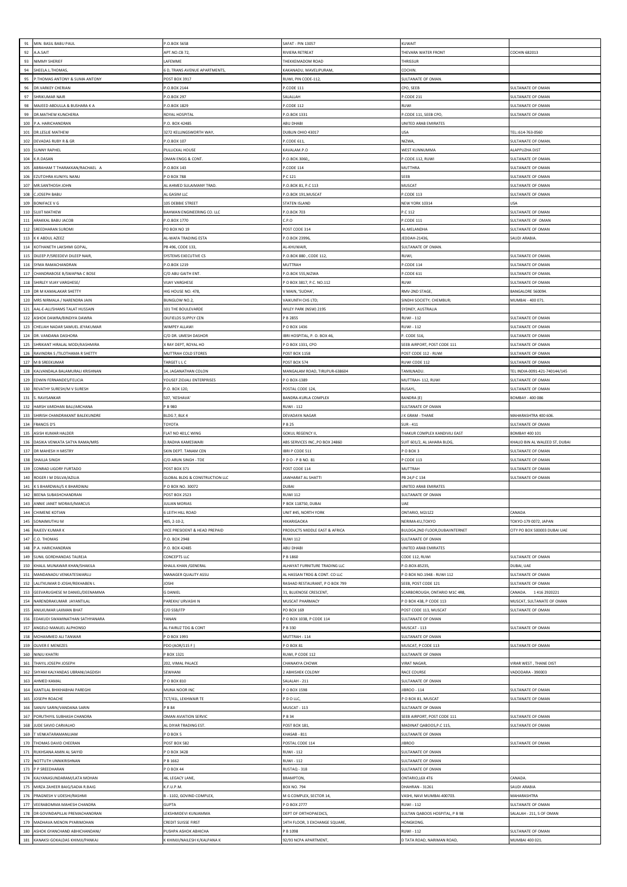| 91       | MIN. BASIL BABU PAUL                                                | P.O.BOX 5658                                         | AFAT - PIN 13057                    | KUWAIT                                         |                                     |
|----------|---------------------------------------------------------------------|------------------------------------------------------|-------------------------------------|------------------------------------------------|-------------------------------------|
|          | A.SAIT                                                              |                                                      |                                     |                                                |                                     |
| 92<br>93 | NIMMY SHERIEF                                                       | APT.NO.CB 72,<br>LAFEMME                             | RIVIERA RETREAT<br>THEKKEMADOM ROAD | HEVARA WATER FRONT<br><b>HRISSUR</b>           | COCHIN 682013                       |
|          |                                                                     |                                                      |                                     |                                                |                                     |
| 94       | SHEELA.L.THOMAS,                                                    | <b>6 D, TRANS AVENUE APARTMENTS</b>                  | KAKANADU, MAVELIPURAM,              | COCHIN                                         |                                     |
| 95       | THOMAS ANTONY & SUMA ANTONY                                         | POST BOX 3917                                        | RUWI, PIN CODE-112,                 | SULTANATE OF OMAN.                             |                                     |
| 96       | DR.VARKEY CHERIAN                                                   | P.O.BOX 2144                                         | .CODE 111                           | CPO, SEEB                                      | SULTANATE OF OMAN                   |
| 97       | <b>HRIKUMAR NAIR</b>                                                | P.O.BOX 297                                          | SALALLAH                            | CODE 211                                       | SULTANATE OF OMAN                   |
| 98       | MAJEED ABDULLA & BUSHARA K A                                        | P.O. BOX 1829                                        | P.CODE 112                          | RUWI                                           | <b>SULTANATE OF OMAN</b>            |
| 99       | <b>DR.MATHEW KUNCHERIA</b>                                          | ROYAL HOSPITAL                                       | P.O.BOX 1331                        | CODE 111, SEEB CPO,                            | SULTANATE OF OMAN                   |
| 100      | P.A. HARICHANDRAN                                                   | P.O. BOX 42485                                       | ABU DHABI                           | UNITED ARAB EMIRATES                           |                                     |
| 101      | DR.LESLIE MATHEW                                                    | 3272 KELLINGSWORTH WAY                               | DUBLIN OHIO 43017                   | JSA                                            | TEL::614-763-0560                   |
| 102      | DEVADAS RUBY R & GR                                                 | .O.BOX 107                                           | CODE 611,                           | NIZWA                                          | <b>SULTANATE OF OMAN</b>            |
| 103      | <b>SUNNY RAPHEL</b>                                                 | PULLICKAL HOUSE                                      | KAVALAM P.O                         | WEST KUNNUMMA                                  | <b>ALAPPUZHA DIST</b>               |
| 104      | (R.DASAN                                                            | OMAN ENGG & CONT.                                    | P.O.BOX.3060,                       | .CODE.112, RUWI                                | SULTANATE OF OMAN.                  |
| 105      | ABRAHAM T THARAKKAN/RACHAEL A                                       | P.O.BOX 143                                          | P.CODE 114                          | MUTTHRA                                        | SULTANATE OF OMAN                   |
| 106      | EZUTOHRA KUNIYIL NANU                                               | P O BOX 788                                          | $C$ 121                             | EEB                                            | <b>SULTANATE OF OMAN</b>            |
| 107      | MR.SANTHOSH JOHN                                                    | AL AHMED SULAIMANY TRAD.                             | 0.80X 81, P.C 113                   | <b>MUSCAT</b>                                  | <b>SULTANATE OF OMAN</b>            |
| 108      | CJOSEPH BABU                                                        | AL GASIM LLC                                         | P.O.BOX 191, MUSCAT                 | P.CODE 113                                     | SULTANATE OF OMAN                   |
| 109      | ONIFACE V G                                                         | 105 DEBBIE STREET                                    | <b>STATEN ISLAND</b>                | <b>NEW YORK 10314</b>                          | <b>JSA</b>                          |
| 110      | <b>SUJIT MATHEW</b>                                                 | BAHWAN ENGINEERING CO. LLC                           | P.O.BOX 703                         | $C$ 112                                        | SULTANATE OF OMAN                   |
| 111      | ARAKKAL BABU JACOB                                                  | P.O.BOX 1770                                         | L.P.0                               | CODE 111                                       | <b>SULTANATE OF OMAN</b>            |
| 112      | REEDHARAN SUROMI                                                    | PO BOX NO 19                                         | POST CODE 314                       | L-MELANDHA                                     | SULTANATE OF OMAN                   |
| 113      | K K ABDUL AZEEZ                                                     | <b>AL-WAFA TRADING ESTA</b>                          | P.O.BOX 23996                       | EDDAH-21436                                    | SAUDI ARABIA                        |
| 114      |                                                                     |                                                      | AL-KHUWAIR                          | SULTANATE OF OMAN.                             |                                     |
|          | (OTHANETH LAKSHMI GOPAL,                                            | PB 496, CODE 133,                                    |                                     |                                                |                                     |
| 115      | DILEEP.P/SREEDEVI DILEEP NAIR,                                      | SYSTEMS EXECUTIVE CS                                 | P.O.BOX 880, CODE 112,              | <b>RUWI</b>                                    | <b>SULTANATE OF OMAN</b>            |
| 116      | SYMA RAMACHANDRAN                                                   | P.O.BOX 1219                                         | MUTTRAH                             | CODE 114                                       | <b>SULTANATE OF OMAN</b>            |
| 117      | HANDRABOSE B/SWAPNA C BOSE                                          | C/O ABU GAITH ENT.                                   | .O.BOX 555,NIZWA                    | CODE 611                                       | SULTANATE OF OMAN                   |
| 118      | SHIRLEY VIJAY VARGHESE                                              | <b>VIJAY VARGHESE</b>                                | P O BOX 3817, P.C. NO.112           | RUWI                                           | <b>SULTANATE OF OMAN</b>            |
| 119      | DR M KAMALAKAR SHETTY                                               | HIG HOUSE NO. 478,                                   | V MAIN, 'SUDHA'                     | RMV-2ND STAGE,                                 | BANGALORE 560094                    |
| 120      | MRS NIRMALA / NARENDRA JAIN                                         | BUNGLOW NO.2.                                        | VAIKUNTH CHS LTD;                   | SINDHI SOCIETY; CHEMBUR;                       | MUMBAI - 400 071.                   |
| 121      | AAL-E-ALI/SHAMS TALAT HUSSAIN                                       | 101 THE BOULEVARDE                                   | WILEY PARK (NSW) 2195               | SYDNEY, AUSTRALIA                              |                                     |
| 122      | ASHOK DAWRA/BINDIYA DAWRA                                           | DILFIELDS SUPPLY CEN                                 | <b>B 2855</b>                       | <b>RUWI - 112</b>                              | SULTANATE OF OMAN                   |
| 123      | CHELIAH NADAR SAMUEL JEYAKUMAR                                      | WIMPEY ALLAW                                         | P O BOX 1436                        | RUWI - 112                                     | <b>SULTANATE OF OMAN</b>            |
| 124      | DR. VANDANA DASHORA                                                 | C/O DR. UMESH DASHOR                                 | BRI HOSPITAL, P. O. BOX 46,         | . CODE 516,                                    | <b>SULTANATE OF OMAN</b>            |
| 125      | SHRIKANT HIRALAL MODI/KASHMIRA                                      | K RAY DEPT, ROYAL HO                                 | P O BOX 1331, CPO                   | SEEB AIRPORT, POST CODE 111                    | SULTANATE OF OMAN                   |
| 126      | RAVINDRA S /TILOTHAMA R SHETTY                                      | MUTTRAH COLD STORES                                  | <b>POST BOX 1158</b>                | POST CODE 112 - RUWI                           | <b>SULTANATE OF OMAN</b>            |
| 127      | M B SREEKUMAR                                                       | TARGET L L C                                         | OST BOX 574                         | RUWI CODE 112                                  | <b>SULTANATE OF OMAN</b>            |
|          |                                                                     |                                                      |                                     |                                                |                                     |
| 128      | KALVANDALA BALAMURALI KRISHNAN                                      | 14, JAGANATHAN COLON                                 | MANGALAM ROAD, TIRUPUR-638604       | TAMILNADU                                      | TEL INDIA-0091-421-740144/145       |
| 129      | DWIN FERNANDES/FELICIA                                              | YOUSEF ZIDJALI ENTERPRISES                           | P O BOX-1389                        | MUTTRAH- 112, RUWI                             | <b>SULTANATE OF OMAN</b>            |
| 130      | REVATHY SURESH/M V SURESH                                           | P.O. BOX 120,                                        | POSTAL CODE 124,                    | RUSAYL                                         | SULTANATE OF OMAN                   |
| 131      | . RAVISANKAR                                                        | 507, 'KESHAVA'                                       | BANDRA-KURLA COMPLEX                | BANDRA (E)                                     | BOMBAY - 400 086                    |
| 132      | <b>IARSH VARDHAN BALI/ARCHANA</b>                                   | P B 980                                              | RUWI - 112                          | ULTANATE OF OMAN                               |                                     |
| 133      | SHIRISH CHANDRAKANT BALEKUNDRE                                      | BLDG 7, BLK 4                                        | DEVADAYA NAGAR                      | K GRAM - THANE                                 | MAHARASHTRA 400 606                 |
| 134      | RANCIS D'S                                                          | TOYOTA                                               | P B 25                              | $5UR - 411$                                    | SULTANATE OF OMAN                   |
| 135      | ASISH KUMAR HALDER                                                  | FLAT NO 401,C WING                                   | GOKUL REGENCY II,                   | THAKUR COMPLEX KANDIVILI EAST                  | BOMBAY 400 101                      |
| 136      | DASIKA VENKATA SATYA RAMA/MRS                                       | D.RADHA KAMESWARI                                    | ABS SERVICES INC., PO BOX 24860     | UIT 601/2, AL JAHARA BLDG                      | KHALID BIN AL WALEED ST, DUBAI      |
| 137      | DR MAHESH H MISTRY                                                  | SKIN DEPT. TANAM CEN                                 | BRI P CODE 511                      | O BOX 3                                        | SULTANATE OF OMAN                   |
| 138      | SHAILIA SINGH                                                       | C/O ARUN SINGH - TDE                                 | P D O - P B NO. 81                  | CODE 113                                       | SULTANATE OF OMAN                   |
| 139      | CONRAD LIGORY FURTADO                                               | POST BOX 371                                         | POST CODE 114                       | MUTTRAH                                        | SULTANATE OF OMAN                   |
| 140      | ROGER I M DSILVA/AZILIA                                             | <b>GLOBAL BLDG &amp; CONSTRUCTION LLC</b>            | <b>AWHARAT AL SHATTI</b>            | PB 24,P C 134                                  | SULTANATE OF OMAN                   |
| 141      | K S BHARDWAJ/S K BHARDWAJ                                           | PO BOX NO. 30072                                     | DUBAI                               | UNITED ARAB EMIRATES                           |                                     |
| 142      | BEENA SUBASHCHANDRAN                                                | POST BOX 2523                                        | <b>RUWI 112</b>                     | SULTANATE OF OMAN                              |                                     |
| 143      | ANNIE JANET MORAIS/MARCUS                                           | <b>JULIAN MORIAS</b>                                 | P BOX 118750, DUBAI                 | LIAF                                           |                                     |
|          | 144 CHIMENE KOTIAN                                                  | <b><i>GLEITH HILL ROAD</i></b>                       | UNIT #45, NORTH YORK                | ONTARIO, M2J1Z2                                | CANADA                              |
|          |                                                                     |                                                      | HIKARIGAOKA                         |                                                |                                     |
|          | 145 SONAIMUTHU M                                                    | 405, 2-10-2,                                         |                                     | NERIMA-KU,TOKYO                                | TOKYO-179 0072, JAPAN               |
| 146      | RAJEEV KUMAR K                                                      | VICE PRESIDENT & HEAD PREPAID                        | PRODUCTS MIDDLE EAST & AFRICA       | <b>SULDG4,2ND FLOOR,DUBAIINTERNET</b>          | CITY PO BOX 500003 DUBAI UAE        |
| 147      | C.O. THOMAS                                                         | P.O. BOX 2948                                        | <b>RUWI 112</b>                     | <b>JULTANATE OF OMAN</b>                       |                                     |
| 148      | P.A. HARICHANDRAN                                                   | P.O. BOX 42485                                       | ABU DHABI                           | UNITED ARAB EMIRATES                           |                                     |
| 149      | SUNIL GORDHANDAS TALREJA                                            | CONCEPTS LLC                                         | P B 1860                            | CODE 112, RUWI                                 | SULTANATE OF OMAN                   |
| 150      | KHALIL MUNAWAR KHAN/SHAKILA                                         | KHALIL KHAN / GENERAL                                | ALHAYAT FURNITURE TRADING LLC       | .O.BOX-85235,                                  | DUBAI, UAE                          |
| 151      | MANDANADU VENKATESWARLU                                             | MANAGER QUALITY ASSU                                 | AL HASSAN TRDG & CONT. CO LLC       | O BOX NO.1948 - RUWI 112                       | <b>SULTANATE OF OMAN</b>            |
| 152      | ALITKUMAR D JOSHI/REKHABEN L                                        | <b>IOSHI</b>                                         | RASHAD RESTAURANT, P O BOX 799      | SEEB, POST CODE 121                            | SULTANATE OF OMAN                   |
| 153      | GEEVARUGHESE M DANIEL/DEENAMMA                                      | <b>G DANIEL</b>                                      | 31, BLUENOSE CRESCENT,              | SCARBOROUGH, ONTARIO M1C 4R8,                  | 1416 2920221<br>CANADA.             |
| 154      | VARENDRAKUMAR JAYANTILAL                                            | PAREKH/ URVASHI N                                    | MUSCAT PHARMACY                     | P O BOX 438, P CODE 113                        | MUSCAT, SULTANATE OF OMAN           |
| 155      | ANII KUMAR LAXMAN RHAT                                              | C/O SSB/ITP                                          | PO BOX 169                          | POST CODE 113, MUSCAT                          | SULTANATE OF OMAN                   |
| 156      | EDAKUDI SWAMINATHAN SATHYANARA                                      | YANAN                                                | P O BOX 1038, P CODE 114            | SULTANATE OF OMAN                              |                                     |
| 157      |                                                                     |                                                      |                                     |                                                |                                     |
| 158      | ANGELO MANUEL ALPHONSO                                              | AL FAIRUZ TDG & CONT                                 | B 330                               | MUSCAT - 113                                   | <b>SULTANATE OF OMAN</b>            |
|          | MOHAMMED ALL TANWAR                                                 | PO BOX 1993                                          | MUTTRAH - 114                       | <b>SULTANATE OF OMAN</b>                       |                                     |
| 159      | OLIVER E MENEZES                                                    | PDO (AOR/115 F)                                      | P O BOX 81                          | MUSCAT, P CODE 113                             | SULTANATE OF OMAN                   |
| 160      | NINJU KHATRI                                                        | P BOX 1321                                           | RUWI, P CODE 112                    | SULTANATE OF OMAN                              |                                     |
| 161      | THAYIL JOSEPH JOSEPH                                                | 202, VIMAL PALACE                                    | CHANAKYA CHOWK                      | <b>VIRAT NAGAR</b>                             | <b>/IRAR WEST, THANE DIST</b>       |
|          |                                                                     |                                                      |                                     |                                                |                                     |
| 162      | SHYAM KALYANDAS UBRANI/JAGDISH                                      | SEWHANI                                              | <b>ABHISHEK COLONY</b>              | RACE COURSE                                    | /ADODARA - 390003                   |
| 163      | AHMED KAMAL                                                         | P O BOX 810                                          | SALALAH - 211                       | SULTANATE OF OMAN                              |                                     |
| 164      | KANTILAL BHIKHABHAI PAREGHI                                         | MUNA NOOR INC                                        | P O BOX 1598                        | IBROO - 114                                    | SULTANATE OF OMAN                   |
| 165      | JOSEPH ROACHE                                                       | TCT/41L, LEKHWAIR TE                                 | P D O LLC,                          | POBOX 81, MUSCAT                               | SULTANATE OF OMAN                   |
| 166      | SANJIV SARIN/VANDANA SARIN                                          | P B 84                                               | MUSCAT - 113                        | <b>ULTANATE OF OMAN</b>                        |                                     |
| 167      | PORUTHIYIL SUBHASH CHANDRA                                          | <b><i>OMAN AVIATION SERVIC</i></b>                   | P B 34                              | EEB AIRPORT, POST CODE 111                     | SULTANATE OF OMAN                   |
| 168      | JUDE SAVIO CARVALHO                                                 | AL DIYAR TRADING EST.                                | POST BOX 181                        | MADINAT QABOOS, P.C 115,                       | SULTANATE OF OMAN                   |
| 169      | VENKATARAMANUJAM                                                    | POBOX <sub>5</sub>                                   | KHASAB - 811                        | SULTANATE OF OMAN                              |                                     |
| 170      | THOMAS DAVID CHEERAN                                                | POST BOX 582                                         | POSTAL CODE 114                     | <b>JIBROO</b>                                  | SULTANATE OF OMAN                   |
| 171      | RUKHSANA AMIN AL SAIYID                                             | P O BOX 3428                                         | RUWI - 112                          | <b>JULTANATE OF OMAN</b>                       |                                     |
| 172      | NOTTUTH UNNIKRISHNAN                                                | P B 1662                                             | RUWI - 112                          | ULTANATE OF OMAN                               |                                     |
| 173      | P P SREEDHARAN                                                      | P O BOX 44                                           | RUSTAQ - 318                        | SULTANATE OF OMAN                              |                                     |
| 174      | KALYANASUNDARAM/LATA MOHAN                                          | 46, LEGACY LANE,                                     | <b>BRAMPTON</b>                     | ONTARIO, L6X 4T6                               | CANADA                              |
| 175      | MIRZA ZAHEER BAIG/SADIA R.BAIG                                      | K.F.U.P.M.                                           | BOX NO. 794                         | DHAHRAN - 31261                                | <b>SAUDI ARABIA</b>                 |
| 176      | PRAGNESH V UDESHI/RASHMI                                            | B-1102, GOVIND COMPLEX,                              | M G COMPLEX, SECTOR 14              | VASHI, NAVI MUMBAI-400703.                     | MAHARASHTRA                         |
| 177      | /EERABOMMA MAHESH CHANDRA                                           | <b>GUPTA</b>                                         | O BOX 2777                          | RUWI - 112                                     | <b>SULTANATE OF OMAN</b>            |
| 178      | DR GOVINDAPILLAI PREMACHANDRAN                                      |                                                      |                                     |                                                |                                     |
|          |                                                                     | LEKSHMIDEVI KUNJAMMA                                 | DEPT OF ORTHOPAEDICS,               | SULTAN QABOOS HOSPITAL, P B 98                 | SALALAH - 211, S OF OMAN            |
| 179      | MADHAVA MENON PYARIMOHAN                                            | CREDIT SUISSE FIRST                                  | 14TH FLOOR, 3 EXCHANGE SQUARE,      | HONGKONG.                                      |                                     |
| 180      | ASHOK GYANCHAND ABHICHANDANI/<br>181 KANAKSI GOKALDAS KHIMJI/PANKAJ | PUSHPA ASHOK ABHICHA<br>K KHIMJI/NAILESH K/KALPANA K | P B 1098<br>92/93 NCPA APARTMENT,   | <b>RUWI - 112</b><br>D TATA ROAD, NARIMAN ROAD | SULTANATE OF OMAN<br>MUMBAI 400 021 |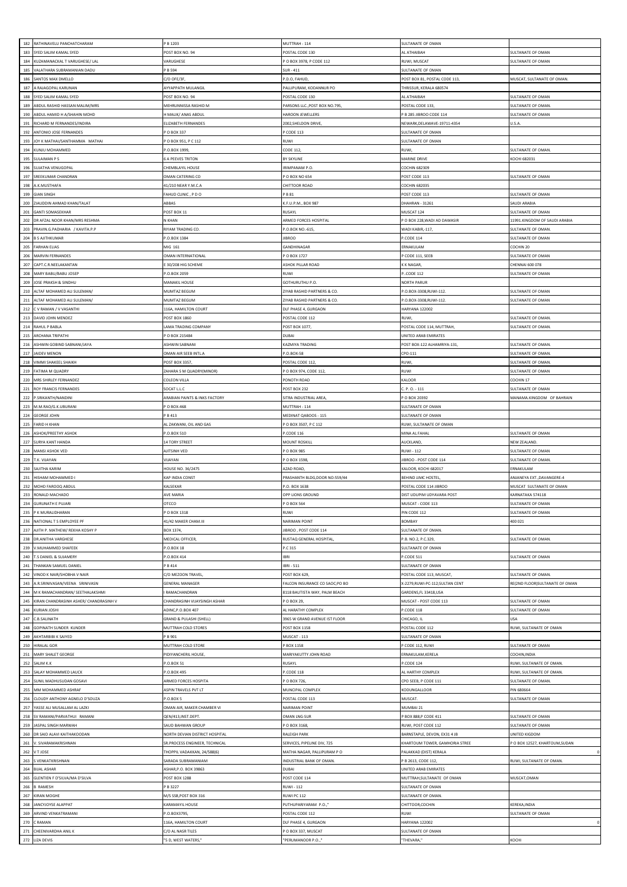| 182        | RATHINAVELU PANCHATCHARAM                           | P B 1203                                        | MUTTRAH - 114                                         | SULTANATE OF OMAN                             |                                                  |
|------------|-----------------------------------------------------|-------------------------------------------------|-------------------------------------------------------|-----------------------------------------------|--------------------------------------------------|
| 183        | SYED SALIM KAMAL SYED                               | POST BOX NO. 94                                 | POSTAL CODE 130                                       | AL ATHAIBAH                                   | SULTANATE OF OMAN                                |
| 184        | KUZAMANACKAL T VARUGHESE/ LAL                       | VARUGHESE                                       | O BOX 3978, P CODE 112                                | RUWI, MUSCAT                                  | SULTANATE OF OMAN                                |
| 185        | VALATHARA SUBRAMANIAN DADU                          | P B 594                                         | $5UR - 411$                                           | SULTANATE OF OMAN                             |                                                  |
| 186        | SANTOS MAX DMELLO                                   | C/O OFE/3F                                      | P.D.O, FAHUD,                                         | POST BOX 81, POSTAL CODE 113                  | MUSCAT, SULTANATE OF OMAN.                       |
| 187<br>188 | A RAJAGOPAL KARUNAN<br>SYED SALIM KAMAL SYED        | AYYAPPATH MULANGIL<br>POST BOX NO. 94           | ALLIPURAM, KODANNUR PO<br>POSTAL CODE 130             | THRISSUR, KERALA 680574<br>AL ATHAIBAH        | SULTANATE OF OMAN                                |
| 189        | ABDUL RASHID HASSAN MALIM/MRS                       | MEHRUNNISSA RASHID M                            | PARSONS LLC., POST BOX NO.795,                        | POSTAL CODE 133                               | SULTANATE OF OMAN.                               |
| 190        | ABDUL HAMID H A/SHAHIN MOHD                         | H MALIK/ ANAS ABDUL                             | HAROON JEWELLERS                                      | B 285 JIBROO CODE 114                         | SULTANATE OF OMAN                                |
| 191        | RICHARD M FERNANDES/INDIRA                          | ELIZABETH FERNANDES                             | 2002, SHELDON DRIVE                                   | NEWARK, DELAWAVE-19711-4354                   | U.S.A                                            |
| 192        | <b>INTONIO JOSE FERNANDES</b>                       | O BOX 337                                       | CODE 113                                              | <b>JULTANATE OF OMAN</b>                      |                                                  |
| 193        | JOY K MATHAI/SANTHAMMA MATHAI                       | P O BOX 951, P C 112                            | RUWI                                                  | SULTANATE OF OMAN                             |                                                  |
| 194        | KUNJU MOHAMMED                                      | P.O.BOX 1999                                    | CODE 112                                              | RUWI,                                         | SULTANATE OF OMAN.                               |
| 195        | <b>SULAIMAN PS</b>                                  | <b>6 A PEEVES TRITON</b>                        | 3Y SKYLINE                                            | MARINE DRIVE                                  | KOCHI 682031                                     |
| 196        | SUJATHA VENUGOPAL                                   | CHEMBLAYIL HOUSE                                | RIMPANAM P.O.                                         | COCHIN 682309                                 |                                                  |
| 197        | REEKUMAR CHANDRAN                                   | MAN CATERING CO                                 | O BOX NO 654                                          | OST CODE 113                                  | <b>JULTANATE OF OMAN</b>                         |
| 198<br>199 | A.K.MUSTHAFA<br><b>GIAN SINGH</b>                   | 41/210 NEAR Y.M.C.A<br>FAHUD CLINIC , P D O     | CHITTOOR ROAD<br><b>B</b> 81                          | <b>COCHIN 682035</b><br>POST CODE 113         | SULTANATE OF OMAN                                |
| 200        | ZIAUDDIN AHMAD KHAN/TALAT                           | ABBAS                                           | (.F.U.P.M., BOX 987                                   | DHAHRAN - 31261                               | <b>SAUDI ARABIA</b>                              |
| 201        | <b>GANTI SOMASEKHAR</b>                             | POST BOX 11                                     | RUSAYL                                                | MUSCAT 124                                    | <b>SULTANATE OF OMAN</b>                         |
| 202        | DR AFZAL NOOR KHAN/MRS RESHMA                       | <b>KHAN</b>                                     | <b>RMED FORCES HOSPITAL</b>                           | O BOX 228, WADI AD DAWASIR                    | 1991.KINGDOM OF SAUDI ARABIA                     |
| 203        | PRAVIN.G.PADHARIA / KAVITA.P.P                      | RIYAM TRADING CO.                               | P.O.BOX NO.-615,                                      | WADI KABIR,-117,                              | <b>SULTANATE OF OMAN</b>                         |
| 204        | <b>B S AJITHKUMAR</b>                               | P.O.BOX 1384                                    | <b>IBROO</b>                                          | CODE 114                                      | SULTANATE OF OMAN                                |
| 205        | <b>FARHAN ELIAS</b>                                 | MIG 161                                         | <b>SANDHINAGAR</b>                                    | ERNAKULAM                                     | COCHIN 20                                        |
| 206        | <b>MARVIN FERNANDES</b>                             | OMAN INTERNATIONAL                              | O BOX 1727                                            | CODE 111, SEEB                                | SULTANATE OF OMAN                                |
| 207        | CAPT.C.R.NEELAKANTAN                                | 30/208 HIG SCHEME                               | <b>SHOK PILLAR ROAD</b>                               | K NAGAR,                                      | <b>CHENNAI 600 078</b>                           |
| 208<br>209 | MARY BABU/BABU JOSEP<br>JOSE PRAKSH & SINDHU        | P.O.BOX 2059                                    | RUWI                                                  | CODE 112<br><b>NORTH PARUR</b>                | SULTANATE OF OMAN                                |
| 210        | ALTAF MOHAMED ALI SULEMAN/                          | MANAKIL HOUSE<br>MUMTAZ BEGUM                   | GOTHURUTHU P.O.<br>ZIYAB RASHID PARTNERS & CO.        | .O.BOX-3308,RUWI-112                          | SULTANATE OF OMAN                                |
| 211        | ALTAF MOHAMED ALI SULEMAN/                          | MUMTAZ BEGUM                                    | ZIYAB RASHID PARTNERS & CO.                           | P.O.BOX-3308,RUWI-112.                        | <b>SULTANATE OF OMAN</b>                         |
| 212        | V RAMAN / V VASANTHI                                | 116A, HAMILTON COURT                            | <b>DLF PHASE 4, GURGAON</b>                           | HARYANA 122002                                |                                                  |
| 213        | DAVID JOHN MENDEZ                                   | <b>POST BOX 1860</b>                            | POSTAL CODE 112                                       | RUWI                                          | SULTANATE OF OMAN                                |
| 214        | RAHUL P BABLA                                       | LAMA TRADING COMPANY                            | POST BOX 1077,                                        | POSTAL CODE 114, MUTTRAH,                     | SULTANATE OF OMAN.                               |
| 215        | ARCHANA TRIPATHI                                    | P O BOX 215484                                  | <b>LABUC</b>                                          | UNITED ARAB EMIRATES                          |                                                  |
| 216        | ASHWIN GOBIND SABNANI/JAYA                          | ASHWIN SABNANI                                  | KAZMIYA TRADING                                       | POST BOX-122 ALHAMRIYA-131                    | <b>SULTANATE OF OMAN</b>                         |
| 217        | <b>JAIDEV MENON</b>                                 | <b>DMAN AIR SEEB INTLA</b>                      | 0.BOX-58                                              | CPO-111                                       | <b>SULTANATE OF OMAN.</b>                        |
| 218<br>219 | VIMMI SHAKEEL SHAIKH                                | <b>POST BOX 3357</b>                            | POSTAL CODE 112,                                      | RUWI,                                         | <b>SULTANATE OF OMAN.</b>                        |
| 220        | ATIMA M QUADRY<br>MRS SHIRLEY FERNANDEZ             | ZAHARA S M QUADRY(MINOR)<br><b>COLEON VILLA</b> | O BOX 974, CODE 112,<br>ONOTH ROAD                    | RUWI<br>KALOOR                                | <b>SULTANATE OF OMAN</b><br>COCHIN <sub>17</sub> |
| 221        | ROY FRANCIS FERNANDES                               | SOCAT L.L.C                                     | POST BOX 232                                          | $C. P. O. - 111$                              | <b>SULTANATE OF OMAN</b>                         |
| 222        | .SRIKANTH/NANDINI                                   | ARABIAN PAINTS & INKS FACTORY                   | <b>ITRA INDUSTRIAL AREA,</b>                          | O BOX 20392                                   | <b>MANAMA.KINGDOM OF BAHRAIN</b>                 |
| 223        | M.M.RAO/G.K.UBURANI                                 | P O BOX-468                                     | MUTTRAH - 114                                         | SULTANATE OF OMAN                             |                                                  |
| 224        | <b>GEORGE JOHN</b>                                  | P B 413                                         | MEDINAT QABOOS - 115                                  | SULTANATE OF OMAN                             |                                                  |
| 225        | FARID H KHAN                                        | AL ZAKWANI, OIL AND GAS                         | O BOX 3507, P C 112                                   | RUWI, SULTANATE OF OMAN                       |                                                  |
| 226        | ASHOK/PREETHY ASHOK                                 | P.O.BOX 510                                     | CODE 116                                              | MINA AL FAHAL                                 | <b>SULTANATE OF OMAN</b>                         |
| 227        | SURYA KANT HANDA                                    | 4 TORY STREET                                   | <b>MOUNT ROSKILL</b>                                  | AUCKLAND,                                     | <b>VEW ZEALAND.</b>                              |
| 228<br>229 | MANSI ASHOK VED<br><b>I.K. VIJAYAN</b>              | AJITSINH VED<br>VIJAYAN                         | P O BOX 985<br>O BOX 1598                             | RUWI - 112                                    | SULTANATE OF OMAN<br>SULTANATE OF OMAN.          |
| 230        | SAJITHA KARIM                                       | HOUSE NO. 36/2475                               | <b>AZAD ROAD</b>                                      | IBROO - POST CODE 114<br>KALOOR, KOCHI 682017 | <b>ERNAKULAM</b>                                 |
| 231        | HISHAM MOHAMMED I                                   | <b>KAP INDIA CONST</b>                          | PRASHANTH BLDG,DOOR NO:559/44                         | BEHIND JJMC HOSTEL,                           | ANJANEYA EXT., DAVANGERE-4                       |
| 232        | MOHD FAROOQ ABDUL                                   | KALSEKAR                                        | .O. BOX 1638                                          | OSTAL CODE 114 JIBROO                         | <b>MUSCAT SULTANATE OF OMAN</b>                  |
| 233        | RONALD MACHADO                                      | AVE MARIA                                       | OPP LIONS GROUND                                      | DIST UDUPIM UDYAVARA POST                     | KARNATAKA 574118                                 |
| 234        | <b>GURUNATH E PUJARI</b>                            | OTCCO                                           | O BOX 564                                             | MUSCAT - CODE 113                             | SULTANATE OF OMAN                                |
|            | 235 P K MURALIDHARAN                                | P O BOX 1318                                    | RUWI                                                  | PIN CODE 112                                  | SULTANATE OF OMAN                                |
| 236        | NATIONAL T S EMPLOYEE PF                            | 41/42 MAKER CHAM.III                            | NARIMAN POINT                                         | BOMBAY                                        | 400 021                                          |
| 237        | AJITH P. MATHEW/ REKHA KOSHY P                      | BOX 1374,                                       | IBROO, POST CODE 114                                  | SULTANATE OF OMAN.                            |                                                  |
| 238<br>239 | DR.ANITHA VARGHESE<br>V.MUHAMMED SHAFEEK            | MEDICAL OFFICER,<br>P.O.BOX 18                  | RUSTAQ GENERAL HOSPITAL<br>P.C 315                    | P.B. NO.2, P.C.329,<br>SULTANATE OF OMAN      | SULTANATE OF OMAN.                               |
| 240        | T.S DANIEL & SUJAMERY                               | P.O.BOX 414                                     | <b>IBRI</b>                                           | P.CODE 511                                    | SULTANATE OF OMAN                                |
| 241        | THANKAN SAMUEL DANIEL                               | P B 414                                         | <b>IBRI - 511</b>                                     | <b>SULTANATE OF OMAN</b>                      |                                                  |
| 242        | VINOD K NAIR/SHOBHA V NAIR                          | C/O MEZOON TRAVEL,                              | POST BOX 629,                                         | POSTAL CODE 113, MUSCAT,                      | SULTANATE OF OMAN.                               |
| 243        | A.R.SRINIVASAN/VEENA SRINIVASN                      | <b>GENERAL MANAGER</b>                          | FALCON INSURANCE CO SAOC;PO BO                        | X-2279,RUWI-PC-112;SULTAN CENT                | RE(2ND FLOOR)SULTANATE OF OMAN                   |
| 244        | M K RAMACHANDRAN/ SEETHALAKSHMI                     | RAMACHANDRAN                                    | 8118 BAUTISTA WAY, PALM BEACH                         | GARDENS, FL 33418, USA                        |                                                  |
| 245        | KIRAN CHANDRASINH ASHER/ CHANDRASINH V              | CHANDRASINH VIJAYSINGH ASHAR                    | P O BOX 29,                                           | MUSCAT - POST CODE 113                        | SULTANATE OF OMAN                                |
| 246        | KURIAN JOSHI                                        | ADINC, P.O.BOX 407                              | AL HARATHY COMPLEX                                    | P.CODE 118                                    | SULTANATE OF OMAN                                |
| 247<br>248 | C.B.SALINATH<br>GOPINATH SUNDER KUNDER              | GRAND & PULASHI (SHELL)<br>MUTTRAH COLD STORES  | 3965 W GRAND AVENUE IST FLOOR<br><b>POST BOX 1158</b> | CHICAGO, IL<br>POSTAL CODE 112                | RUWI, SULTANATE OF OMAN                          |
| 249        | AKHTARBIBI K SAIYED                                 | P B 901                                         | MUSCAT - 113                                          | <b>SULTANATE OF OMAN</b>                      |                                                  |
| 250        | HIRALAL GOR                                         | MUTTRAH COLD STORE                              | BOX 1158                                              | CODE 112, RUWI                                | SULTANATE OF OMAN                                |
| 251        | MARY SHALET GEORGE                                  | PIDIYANCHERIL HOUSE,                            | MARIYAKUTTY JOHN ROAD                                 | ERNAKULAM, KERELA                             | COCHIN, INDIA                                    |
| 252        | SALIM K.K                                           | P.O.BOX 51                                      | RUSAYL                                                | CODE 124                                      | RUWI, SULTANATE OF OMAN.                         |
| 253        | SALAY MOHAMMED LAUCK                                | P.O.BOX 495                                     | P.CODE 118                                            | AL HARTHY COMPLEX                             | RUWI, SULTANATE OF OMAN.                         |
| 254        | SUNIL MADHUSUDAN GOSAVI                             | ARMED FORCES HOSPITA                            | P O BOX 726,                                          | CPO SEEB, P CODE 111                          | SULTANATE OF OMAN                                |
| 255<br>256 | MM MOHAMMED ASHRAF<br>CLOUDY ANTHONY AGNELO D'SOUZA | ASPIN TRAVELS PVT LT<br>P.O.BOX 5               | MUNCIPAL COMPLEX                                      | KODUNGALLOOR<br>MUSCAT.                       | PIN 680664                                       |
| 257        | YASSE ALI MUSALLAM AL LAZKI                         | OMAN AIR, MAKER CHAMBER VI                      | POSTAL CODE 113<br><b>VARIMAN POINT</b>               | MUMBAI 21                                     | <b>SULTANATE OF OMAN</b>                         |
| 258        | SV RAMANI/PARVATHUI RAMANI                          | QEN/413, INST. DEPT                             | <b>DMAN LNG-SUR</b>                                   | BOX 888, PCODE 411                            | SULTANATE OF OMAN                                |
| 259        | JASPAL SINGH MARWAH                                 | SAUD BAHWAN GROUP                               | P O BOX 3168,                                         | RUWI, POST CODE 112                           | SULTANATE OF OMAN                                |
| 260        | DR SAID ALAVI KAITHAKOODAN                          | NORTH DEVIAN DISTRICT HOSPITAL                  | RALEIGH PARK                                          | BARNSTAPLE, DEVON, EX31 4 JB                  | JNITED KIGDOM                                    |
| 261        | V. SIVARAMAKRISHNAN                                 | SR.PROCESS ENGINEER, TECHNICAL                  | SERVICES, PIPELINE DIV, 725                           | KHARTOUM TOWER, GAMHORIA STREE                | O BOX 12527, KHARTOUM, SUDAN                     |
| 262        | <b>TJOSE</b>                                        | THOPPIL VADAKKAN, 24/588(6)                     | <b>MATHA NAGAR, PALLIPURAM PO</b>                     | ALAKKAD (DIST) KERALA                         |                                                  |
| 263        | S VENKATKRISHNAN                                    | SARADA SUBRAMANIAM                              | <b>NDUSTRIAL BANK OF OMAN</b>                         | P B 2613, CODE 112                            | RUWI, SULTANATE OF OMAN.                         |
| 264        | <b>BIJAL ASHAR</b>                                  | ASHAR, P.O. BOX 39863                           | DUBAI                                                 | UNITED ARAB EMIRATES                          |                                                  |
| 265        | GLENTIEN F D'SILVA/MA D'SILVA                       | <b>POST BOX 1288</b>                            | POST CODE 114                                         | MUTTRAH, SULTANATE OF OMAN                    | MUSCAT,OMAN                                      |
| 266        | <b>B RAMESH</b>                                     | P B 3227                                        | RUWI - 112                                            | <b>SULTANATE OF OMAN</b>                      |                                                  |
| 267<br>268 | KIRAN MOGHE<br>JANCYJOYSE ALAPPAT                   | M/S SSB, POST BOX 316<br>KARAMAYIL HOUSE        | RUWI PC 112<br>PUTHUPARIYARAM P.O.,                   | ULTANATE OF OMAN<br>CHITTOOR,COCHIN           | KEREKA, INDIA                                    |
| 269        | ARVIND VENKATRAMANI                                 | P.O.BOX3795,                                    | POSTAL CODE 112                                       | RUWI                                          | SULTANATE OF OMAN                                |
| 270        |                                                     |                                                 | DLF PHASE 4, GURGAON                                  | HARYANA 122002                                |                                                  |
|            | C RAMAN                                             | 116A, HAMILTON COURT                            |                                                       |                                               |                                                  |
| 271        | CHEENIVARDHA ANIL K                                 | C/O AL NASR TILES                               | O BOX 337, MUSCAT                                     | <b>SULTANATE OF OMAN</b>                      |                                                  |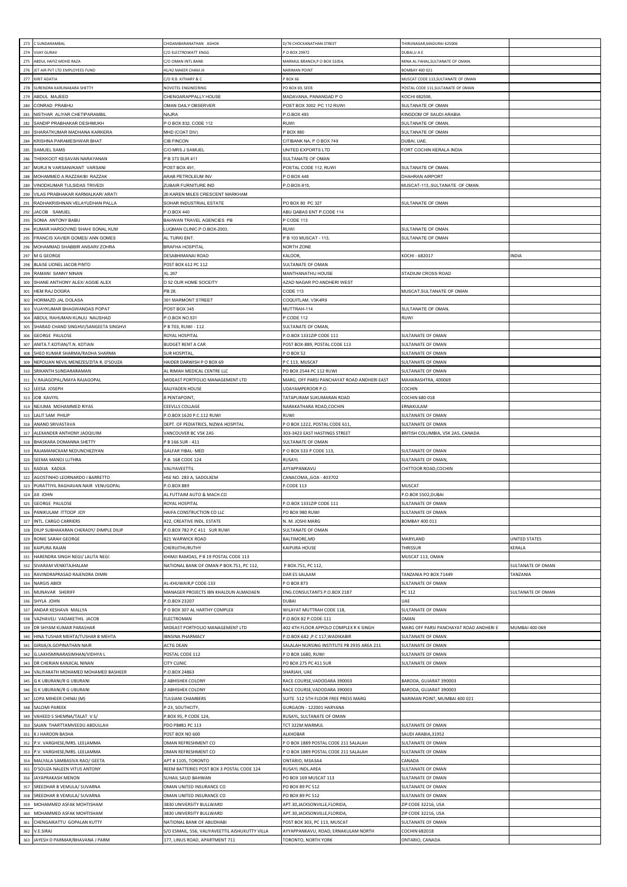| 273        | C SUNDARAMBAL                                                      | CHIDAMBARANATHAN ASHOK                                                       | 1/76 CHOCKANATHAN STREET                                            | THIRUNAGAR, MADURAI 625006                      |                         |
|------------|--------------------------------------------------------------------|------------------------------------------------------------------------------|---------------------------------------------------------------------|-------------------------------------------------|-------------------------|
| 274        | <b>VIJAY GURAV</b>                                                 | C/O ELECTROWATT ENGG                                                         | O BOX 29972                                                         | DUBAI,U A E                                     |                         |
| 275        | ABDUL HAFIZ MOHD RAZA                                              | C/O OMAN INTL BANK                                                           | MARMUL BRANCH,P O BOX 51054,                                        | MINA AL FAHAL, SULTANATE OF OMAN.               |                         |
| 276        | JET AIR PVT LTD EMPLOYEES FUND                                     | 41/42 MAKER CHAM.III                                                         | <b>VARIMAN POINT</b>                                                | <b>BOMBAY 400 02</b>                            |                         |
| 277        | KIRIT ADATIA                                                       | C/O R.B. KITHARY & C                                                         | <b>BOX 66</b>                                                       | MUSCAT CODE 113, SULTANATE OF OMAN              |                         |
| 278        | SURENDRA KARUNAKARA SHETTY                                         | NOVOTEL ENGINEERING                                                          | PO BOX 69, SEEB                                                     | POSTAL CODE 111, SULTANATE OF OMAN              |                         |
| 279<br>280 | ABDUL MAJEED<br>CONRAD PRABHU                                      | CHENGARAPPALLY HOUSE<br>OMAN DAILY OBSERVER                                  | MADAVANA, PANANGAD P O<br>POST BOX 3002 PC 112 RUWI                 | KOCHI 682506<br>SULTANATE OF OMAN               |                         |
| 281        | NISTHAR ALIYAR CHETIPARAMBIL                                       | NAJRA                                                                        | P.O.BOX 493                                                         | KINGDOM OF SAUDI ARABIA                         |                         |
| 282        | SANDIP PRABHAKAR DESHMUKH                                          | P O BOX 832, CODE 112                                                        | RUWI                                                                | SULTANATE OF OMAN,                              |                         |
| 283        | SHARATKUMAR MADHANA KARKERA                                        | MHD (COAT DIV)                                                               | <b>BOX 880</b>                                                      | SULTANATE OF OMAN                               |                         |
| 284        | KRISHNA PARAMESHWAR BHAT                                           | <b>CIB FINCON</b>                                                            | CITIBANK NA, PO BOX 749                                             | DUBAI, UAE                                      |                         |
| 285        | SAMUEL SAMS                                                        | C/O MRS.J SAMUEL                                                             | JNITED EXPORTS LTD                                                  | FORT COCHIN KERALA INDIA                        |                         |
| 286        | THEKKOOT KESAVAN NARAYANAN                                         | P B 373 SUR 411                                                              | SULTANATE OF OMAN                                                   |                                                 |                         |
| 287        | MURJI N VARSANI/KANT VARSANI                                       | POST BOX 491                                                                 | OSTAL CODE 112, RUWI                                                | SULTANATE OF OMAN                               |                         |
| 288        | MOHAMMED A RAZZAK/BI RAZZAK                                        | ARAB PETROLEUM INV                                                           | O BOX 448                                                           | DHAHRAN AIRPORT                                 |                         |
| 289        | VINODKUMAR TULSIDAS TRIVEDI                                        | ZUBAIR FURNITURE IND                                                         | -. 0. BOX-915,                                                      | MUSCAT-113,, SULTANATE OF OMAN.                 |                         |
| 290<br>291 | VILAS PRABHAKAR KARMALKAR/ ARATI<br>RADHAKRISHNAN VELAYUDHAN PALLA | 26 KAREN MILES CRESCENT MARKHAM<br>SOHAR INDUSTRIAL ESTATE                   | PO BOX 80 PC 327                                                    |                                                 |                         |
| 292        | JACOB SAMUEL                                                       | P.O.BOX 440                                                                  | ABU QABAS ENT P.CODE 114                                            | SULTANATE OF OMAN                               |                         |
| 293        | SONIA ANTONY BABU                                                  | BAHWAN TRAVEL AGENCIES PB                                                    | CODE 113                                                            |                                                 |                         |
| 294        | KUMAR HARGOVIND SHAH/ SONAL KUM                                    | LUQMAN CLINIC, P.O.BOX-2003,                                                 | RUWI                                                                | SULTANATE OF OMAN                               |                         |
| 295        | FRANCIS XAVIER GOMES/ ANN GOMES                                    | AL TURKI ENT                                                                 | P B 103 MUSCAT - 113,                                               | SULTANATE OF OMAN                               |                         |
| 296        | MOHAMMAD SHABBIR ANSARI/ ZOHRA                                     | <b>BRAFHA HOSPITAL</b>                                                       | <b>NORTH ZONE</b>                                                   |                                                 |                         |
| 297        | M G GEORGE                                                         | DESABHIMANAI ROAD                                                            | KALOOR,                                                             | KOCHI - 682017                                  | INDIA                   |
| 298        | BLAISE LIONEL JACOB PINTO                                          | POST BOX 612 PC 112                                                          | <b>SULTANATE OF OMAN</b>                                            |                                                 |                         |
| 299        | RAMANI SANNY NINAN                                                 | XL 267                                                                       | MANTHANATHU HOUSE                                                   | STADIUM CROSS ROAD                              |                         |
| 300        | SHANE ANTHONY ALEX/ AGGIE ALEX                                     | D 52 OUR HOME SOCEITY                                                        | AZAD NAGAR PO ANDHERI WEST                                          |                                                 |                         |
| 301        | HEM RAJ DOGRA                                                      | <b>PB 28</b>                                                                 | CODE 113                                                            | MUSCAT, SULTANATE OF OMAN                       |                         |
| 302        | HORMAZD JAL DOLASA                                                 | 391 MARMONT STREET                                                           | COQUITLAM, V3K4R9                                                   | SULTANATE OF OMAN                               |                         |
| 303<br>304 | VIJAYKUMAR BHAGWANDAS POPAT<br>ABDUL RAHUMAN KUNJU NAUSHAD         | OST BOX 345<br>P.O.BOX NO.531                                                | MUTTRAH-114<br>CODE 112                                             | RUWI                                            |                         |
| 305        | SHARAD CHAND SINGHVI/SANGEETA SINGHVI                              | P B 703, RUWI - 112                                                          | SULTANATE OF OMAN,                                                  |                                                 |                         |
| 306        | <b>GEORGE PAULOSE</b>                                              | ROYAL HOSPITAL                                                               | .O.BOX 1331ZIP CODE 111                                             | SULTANATE OF OMAN                               |                         |
| 307        | ANITA.T.KOTIAN/T.N. KOTIAN                                         | <b>BUDGET RENT A CAR</b>                                                     | POST BOX-889, POSTAL CODE 113                                       | SULTANATE OF OMAN                               |                         |
| 308        | SHEO KUMAR SHARMA/RADHA SHARMA                                     | SUR HOSPITAL                                                                 | O BOX 52                                                            | SULTANATE OF OMAN                               |                         |
| 309        | NEPOLIAN NEVIL MENEZES/ZITA R. D'SOUZA                             | HAIDER DARWISH P O BOX 69                                                    | C 113, MUSCAT                                                       | SULTANATE OF OMAN                               |                         |
| 310        | SRIKANTH SUNDARARAMAN                                              | AL RIMAH MEDICAL CENTRE LLC                                                  | PO BOX 2544 PC 112 RUWI                                             | SULTANATE OF OMAN                               |                         |
| 311        | V.RAJAGOPAL/MAYA RAJAGOPAL                                         | MIDEAST PORTFOLIO MANAGEMENT LTD                                             | MARG, OFF PARSI PANCHAYAT ROAD ANDHERI EAST                         | MAHARASHTRA, 400069                             |                         |
| 312        | LEESA JOSEPH                                                       | KALIYADEN HOUSE                                                              | UDAYAMPEROOR P.O.                                                   | COCHIN                                          |                         |
| 313        | <b>JOB KAVIYIL</b>                                                 | PENTAPOINT,                                                                  | <b>FATAPURAM SUKUMARAN ROAD</b>                                     | COCHIN 680 018                                  |                         |
| 314        | NEJUMA MOHAMMED RIYAS                                              | CEEVLLS COLLAGE                                                              | VARAKATHARA ROAD,COCHIN                                             | ERNAKULAM                                       |                         |
| 315<br>316 | LALIT SAM PHILIP<br>ANAND SRIVASTAVA                               | P.O.BOX 1620 P.C.112 RUWI<br>DEPT. OF PEDIATRICS, NIZWA HOSPITAL             | RUWI<br>O BOX 1222, POSTAL CODE 611                                 | SULTANATE OF OMAN<br>SULTANATE OF OMAN          |                         |
| 317        | ALEXANDER ANTHONY JAOQIUIM                                         | VANCOUVER BC V5K 2A5                                                         | 303-3423 EAST HASTINGS STREET                                       | BRITISH COLUMBIA, V5K 2A5, CANADA               |                         |
| 318        | BHASKARA DOMANNA SHETTY                                            | B 166 SUR - 411                                                              | SULTANATE OF OMAN                                                   |                                                 |                         |
| 319        | RAJAMANICKAM NEDUNCHEZIYAN                                         | GALFAR YIBAL- MED                                                            | O BOX 533 P CODE 113,                                               | SULTANATE OF OMAN                               |                         |
| 320        | SEEMA MANOJ LUTHRA                                                 | P.B. 168 CODE 124                                                            | RUSAYL                                                              | SULTANATE OF OMAN,                              |                         |
|            | KADIJA KADIJA                                                      | VALIYAVEETTIL                                                                | AYYAPPANKAVU                                                        | CHITTOOR ROAD, COCHIN                           |                         |
| 321        |                                                                    |                                                                              |                                                                     |                                                 |                         |
| 322        | AGOSTINHO LEORNARDO I BARRETTO                                     | HSE NO. 283 A, SADOLXEM                                                      | CANACOMA,, GOA - 403702                                             |                                                 |                         |
| 323        | PURATTIYIL RAGHAVAN NAIR VENUGOPAL                                 | O.BOX 889                                                                    | CODE 113                                                            | MUSCAT                                          |                         |
| 324        | JIJI JOHN                                                          | AL FUTTAIM AUTO & MACH.CO                                                    |                                                                     | P.O.BOX 5502,DUBAI                              |                         |
| 325        | <b>GEORGE PAULOSE</b>                                              | ROYAL HOSPITAL                                                               | .O.BOX 1331ZIP CODE 111                                             | SULTANATE OF OMAN                               |                         |
|            | 326 PANIKULAM ITTOOP JOY                                           | HAIFA CONSTRUCTION CO LLC                                                    | PO BOX 980 RUWI                                                     | SULTANATE OF OMAN                               |                         |
| 327        | INTL. CARGO CARRIERS                                               | 422, CREATIVE INDL. ESTATE                                                   | N. M. JOSHI MARG                                                    | <b>BOMBAY 400 011</b>                           |                         |
| 328        | DILIP SUBHAKARAN CHERADY/ DIMPLE DILIP                             | P.O.BOX 782 P.C 411 SUR RUWI                                                 | <b>SULTANATE OF OMAN</b>                                            |                                                 |                         |
| 329<br>330 | RONIE SARAH GEORGE<br>KAIPURA RAJAN                                | 821 WARWICK ROAD<br>CHERUITHURUTHY                                           | BALTIMORE, MD<br>KAIPURA HOUSE                                      | MARYLAND<br>THRISSUR                            | UNITED STATES<br>KERALA |
| 331        | HARENDRA SINGH NEGI/ LALITA NEGI                                   | KHIMJI RAMDAS, P B 19 POSTAL CODE 113                                        |                                                                     | MUSCAT 113, OMAN                                |                         |
| 332        | SIVARAM VENKITAJHALAM                                              | NATIONAL BANK OF OMAN P BOX.751, PC 112,                                     | P BOX.751, PC 112,                                                  |                                                 | SULTANATE OF OMAN       |
| 333        | RAVINDRAPRASAD RAJENDRA DIMRI                                      |                                                                              | DAR ES SALAAM                                                       | TANZANIA PO BOX 71449                           | TANZANIA                |
| 334        | <b>NARGIS ABIDI</b>                                                | AL-KHUWAIR, PCODE-133                                                        | P O BOX 873                                                         | SULTANATE OF OMAN                               |                         |
| 335        | MUNAVAR SHERIFF                                                    | MANAGER PROJECTS IBN KHALDUN ALMADAEN                                        | ENG.CONSULTANTS P.O.BOX 2187                                        | PC 112                                          | SULTANATE OF OMAN       |
| 336        | SHYLA JOHN                                                         | P.O.BOX 23207                                                                | DUBAI                                                               | UAE                                             |                         |
| 337        | ANDAR KESHAVA MALLYA                                               | P O BOX 307 AL HARTHY COMPLEX                                                | WILAYAT MUTTRAH CODE 118,                                           | SULTANATE OF OMAN                               |                         |
| 338<br>339 | VAZHAVELI VADAKETHIL JACOB<br>DR SHYAM KUMAR PARASHAR              | ELECTROMAN<br>MIDEAST PORTFOLIO MANAGEMENT LTD                               | -. O.BOX 82 P.CODE-111<br>402 4TH FLOOR APPOLO COMPLEX R K SINGH    | OMAN<br>MARG OFF PARSI PANCHAYAT ROAD ANDHERI E | MUMBAI 400 069          |
| 340        | HINA TUSHAR MEHTA/TUSHAR B MEHTA                                   | <b>IBNSINA PHARMACY</b>                                                      | P.O.BOX-682 , P.C 117, WADIKABIR                                    | SULTANATE OF OMAN                               |                         |
| 341        | GIRIJA/A.GOPINATHAN NAIR                                           | ACTG DEAN                                                                    | SALALAH NURSING INSTITUTE PB 2935 AREA 211                          | SULTANATE OF OMAN                               |                         |
| 342        | G.LAKHSMINARASIMHAN/VIDHYA L                                       | POSTAL CODE 112                                                              | P O BOX 1680, RUWI                                                  | SULTANATE OF OMAN                               |                         |
| 343        | DR CHERIAN KANJICAL NINAN                                          | CITY CLINIC                                                                  | PO BOX 275 PC 411 SUR                                               | SULTANATE OF OMAN                               |                         |
| 344        | VALIYAKATH MOHAMED MOHAMED BASHEER                                 | P.O.BOX 24863                                                                | SHARJAH, UAE                                                        |                                                 |                         |
| 345        | G K UBURANI/R G UBURANI                                            | 2 ABHISHEK COLONY                                                            | RACE COURSE, VADODARA 390003                                        | BARODA, GUJARAT 390003                          |                         |
| 346        | G K UBURANI/R G UBURANI                                            | 2 ABHISHEK COLONY                                                            | RACE COURSE, VADODARA 390003                                        | BARODA, GUJARAT 390003                          |                         |
| 347        | LOPA MIHEER CHINAI (M)                                             | TULSIANI CHAMBERS                                                            | SUITE 512 5TH FLOOR FREE PRESS MARG                                 | NARIMAN POINT, MUMBAI 400 021                   |                         |
| 348        | SALOMI PAREEK                                                      | -23, SOUTHCITY,                                                              | GURGAON - 122001 HARYANA                                            |                                                 |                         |
| 349<br>350 | VAHEED S SHEMNA/TALAT V S/                                         | P.BOX 95, P CODE 124,                                                        | RUSAYL, SULTANATE OF OMAN                                           |                                                 |                         |
| 351        | SAJAN THARTTAMVEEDU ABDULLAH<br>K J HAROON BASHA                   | PDO PB#81 PC 113<br>POST BOX NO 600                                          | TCT 322M MARMUL<br>ALKHOBAR                                         | SULTANATE OF OMAN<br>SAUDI ARABIA, 31952        |                         |
| 352        | P.V. VARGHESE/MRS. LEELAMMA                                        | OMAN REFRESHMENT CO                                                          | O BOX 1889 POSTAL CODE 211 SALALAH                                  | SULTANATE OF OMAN                               |                         |
| 353        | P.V. VARGHESE/MRS. LEELAMMA                                        | OMAN REFRESHMENT CO                                                          | O BOX 1889 POSTAL CODE 211 SALALAH                                  | SULTANATE OF OMAN                               |                         |
| 354        | MALYALA SAMBASIVA RAO/ GEETA                                       | APT #1105, TORONTO                                                           | ONTARIO, M3A3A4                                                     | CANADA                                          |                         |
| 355        | D'SOUZA NALEEN VITUS ANTONY                                        | REEM BATTERIES POST BOX 3 POSTAL CODE 124                                    | RUSAYL INDL.AREA                                                    | SULTANATE OF OMAN                               |                         |
| 356        | JAYAPRAKASH MENON                                                  | SUHAIL SAUD BAHWAN                                                           | PO BOX 169 MUSCAT 113                                               | SULTANATE OF OMAN                               |                         |
| 357        | SREEDHAR B VEMULA/ SUVARNA                                         | OMAN UNITED INSURANCE CO                                                     | PO BOX 89 PC 512                                                    | SULTANATE OF OMAN                               |                         |
| 358        | SREEDHAR B VEMULA/ SUVARNA                                         | OMAN UNITED INSURANCE CO                                                     | PO BOX 89 PC 512                                                    | SULTANATE OF OMAN                               |                         |
|            | 359 MOHAMMED ASFAK MOHTISHAM                                       | 3830 UNIVERSITY BULLWARD                                                     | APT.30, JACKSONVILLE, FLORIDA,                                      | ZIP CODE 32216, USA                             |                         |
|            | 360 MOHAMMED ASFAK MOHTISHAM                                       | 3830 UNIVERSITY BULLWARD                                                     | APT.30, JACKSONVILLE, FLORIDA,                                      | ZIP CODE 32216, USA                             |                         |
| 362        | 361 CHENGAIKATTU GOPALAN KUTTY<br>V.E.SIRAJ                        | NATIONAL BANK OF ABUDHABI<br>S/O ESMAIL, 556, VALIYAVEETTIL AISHUKUTTY VILLA | POST BOX 303, PC 113, MUSCAT<br>AYYAPPANKAVU, ROAD, ERNAKULAM NORTH | SULTANATE OF OMAN<br><b>COCHIN 682018</b>       |                         |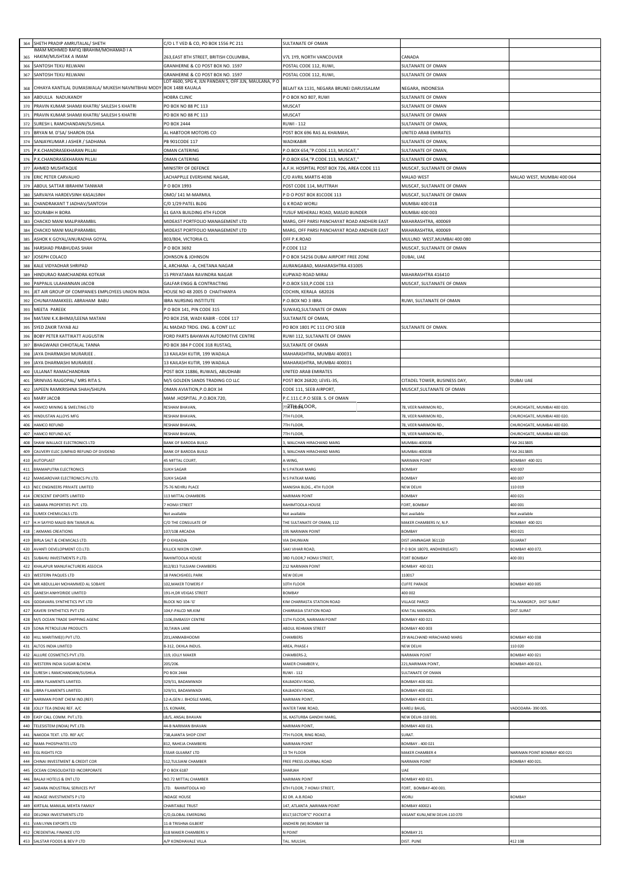| 364        | SHETH PRADIP AMRUTALAL/ SHETH                                          | C/O L T VED & CO, PO BOX 1556 PC 211                         | SULTANATE OF OMAN                                                                 |                                                    |                                                                  |
|------------|------------------------------------------------------------------------|--------------------------------------------------------------|-----------------------------------------------------------------------------------|----------------------------------------------------|------------------------------------------------------------------|
|            | IMAM MOHMED RAFIQ IBRAHIM/MOHAMAD I A<br>365 HAKIM/MUSHTAK A IMAM      | 263, EAST 8TH STREET, BRITISH COLUMBIA,                      | /7L 1Y9, NORTH VANCOUVER                                                          | <b>CANADA</b>                                      |                                                                  |
| 366        | SANTOSH TEKU RELWANI                                                   | GRANHERNE & CO POST BOX NO. 1597                             | POSTAL CODE 112, RUWI                                                             | SULTANATE OF OMAN                                  |                                                                  |
| 367        | SANTOSH TEKU RELWANI                                                   | GRANHERNE & CO POST BOX NO. 1597                             | POSTAL CODE 112, RUWI                                                             | SULTANATE OF OMAN                                  |                                                                  |
|            |                                                                        | LOT 4600, SPG 4, JLN PANDAN 5, OFF JLN, MAULANA, PO          |                                                                                   |                                                    |                                                                  |
| 368<br>369 | CHHAYA KANTILAL DUMASWALA/ MUKESH NAVNITBHAI MODY<br>ABDULLA NADUKANDY | BOX 1488 KAUALA<br>HOBRA CLINIC                              | BELAIT KA 1131, NEGARA BRUNEI DARUSSALAM<br>POBOX NO 807, RUWI                    | NEGARA, INDONESIA<br><b>SULTANATE OF OMAN</b>      |                                                                  |
| 370        | PRAVIN KUMAR SHAMJI KHATRI/ SAILESH S KHATRI                           | PO BOX NO 88 PC 113                                          | MUSCAT                                                                            | SULTANATE OF OMAN                                  |                                                                  |
| 371        | PRAVIN KUMAR SHAMJI KHATRI/ SAILESH S KHATRI                           | PO BOX NO 88 PC 113                                          | MUSCAT                                                                            | SULTANATE OF OMAN                                  |                                                                  |
| 372        | SURESH L RAMCHANDANI/SUSHILA                                           | PO BOX 2444                                                  | RUWI - 112                                                                        | SULTANATE OF OMAN,                                 |                                                                  |
| 373        | BRYAN M. D'SA/ SHARON DSA                                              | AL HABTOOR MOTORS CO                                         | POST BOX 696 RAS AL KHAIMAH                                                       | UNITED ARAB EMIRATES                               |                                                                  |
| 374        | SANJAYKUMAR J ASHER / SADHANA                                          | PB 901CODE 117                                               | WADIKABIR                                                                         | SULTANATE OF OMAN,                                 |                                                                  |
| 375        | P.K.CHANDRASEKHARAN PILLAI                                             | OMAN CATERING                                                | P.O.BOX 654,"P.CODE.113, MUSCAT,"                                                 | SULTANATE OF OMAN,                                 |                                                                  |
| 376<br>377 | P.K.CHANDRASEKHARAN PILLAI                                             | OMAN CATERING                                                | P.O.BOX 654, "P.CODE.113, MUSCAT,"<br>A.F.H. HOSPITAL POST BOX 726, AREA CODE 111 | SULTANATE OF OMAN,                                 |                                                                  |
| 378        | AHMED MUSHTAQUE<br>ERIC PETER CARVALHO                                 | MINISTRY OF DEFENCE<br>LACHAPPLLE EVERSHINE NAGAR,           | C/O AVRIL MARTIS 403B                                                             | MUSCAT, SULTANATE OF OMAN<br>MALAD WEST            | MALAD WEST, MUMBAI 400 064                                       |
| 379        | ABDUL SATTAR IBRAHIM TANWAR                                            | P O BOX 1993                                                 | POST CODE 114, MUTTRAH                                                            | MUSCAT, SULTANATE OF OMAN                          |                                                                  |
| 380        | SARVAIYA HARDEVSINH KASALSINH                                          | OMO/ 141 M-MARMUL                                            | P D O POST BOX 81CODE 113                                                         | MUSCAT, SULTANATE OF OMAN                          |                                                                  |
| 381        | CHANDRAKANT T JADHAV/SANTOSH                                           | C/0 1/29 PATEL BLDG                                          | G K ROAD WORLI                                                                    | MUMBAI 400 018                                     |                                                                  |
| 382        | SOURABH H BORA                                                         | 61 GAYA BUILDING 4TH FLOOR                                   | YUSUF MEHERALI ROAD, MASJID BUNDER                                                | MUMBAI 400 003                                     |                                                                  |
| 383        | CHACKO MANI MALIPARAMBIL                                               | MIDEAST PORTFOLIO MANAGEMENT LTD                             | MARG, OFF PARSI PANCHAYAT ROAD ANDHERI EAST                                       | MAHARASHTRA, 400069                                |                                                                  |
| 384<br>385 | CHACKO MANI MALIPARAMBIL<br>ASHOK K GOYAL/ANURADHA GOYAL               | MIDEAST PORTFOLIO MANAGEMENT LTD<br>803/804, VICTORIA CL     | <b>MARG, OFF PARSI PANCHAYAT ROAD ANDHERI EAST</b><br>OFF P.K.ROAD                | MAHARASHTRA, 400069<br>MULUND WEST, MUMBAI 400 080 |                                                                  |
| 386        | HARSHAD PRABHUDAS SHAH                                                 | P O BOX 3692                                                 | P.CODE 112                                                                        | MUSCAT, SULTANATE OF OMAN                          |                                                                  |
| 387        | JOSEPH COLACO                                                          | JOHNSON & JOHNSON                                            | O BOX 54256 DUBAI AIRPORT FREE ZONE                                               | DUBAI, UAE                                         |                                                                  |
| 388        | KALE VIDYADHAR SHRIPAD                                                 | I, ARCHANA - A, CHETANA NAGAR                                | AURANGABAD, MAHARASHTRA 431005                                                    |                                                    |                                                                  |
| 389        | HINDURAO RAMCHANDRA KOTKAR                                             | 15 PRIYATAMA RAVINDRA NAGAR                                  | KUPWAD ROAD MIRAJ                                                                 | MAHARASHTRA 416410                                 |                                                                  |
| 390        | PAPPALIL ULAHANNAN JACOB                                               | <b>GALFAR ENGG &amp; CONTRACTING</b>                         | P.O.BOX 533, P.CODE 113                                                           | MUSCAT, SULTANATE OF OMAN                          |                                                                  |
| 391<br>392 | JET AIR GROUP OF COMPANIES EMPLOYEES UNION INDIA                       | HOUSE NO 48 2005 D CHAITHANYA                                | COCHIN, KERALA 682026                                                             |                                                    |                                                                  |
| 393        | CHUNAYAMAKKEEL ABRAHAM BABU<br>MEETA PAREEK                            | <b>IBRA NURSING INSTITUTE</b><br>PO BOX 141, PIN CODE 315    | P.O.BOX NO 3 IBRA<br>SUWAIQ, SULTANATE OF OMAN                                    | RUWI, SULTANATE OF OMAN                            |                                                                  |
| 394        | MATANI K.K.BHIMJI/LEENA MATANI                                         | PO BOX 258, WADI KABIR - CODE 117                            | SULTANATE OF OMAN                                                                 |                                                    |                                                                  |
| 395        | SYED ZAKIR TAYAB ALI                                                   | AL MADAD TRDG. ENG. & CONT LLC                               | PO BOX 1801 PC 111 CPO SEEB                                                       | SULTANATE OF OMAN.                                 |                                                                  |
| 396        | <b>BOBY PETER KATTIKATT AUGUSTIN</b>                                   | FORD PARTS BAHWAN AUTOMOTIVE CENTRE                          | RUWI 112, SULTANATE OF OMAN                                                       |                                                    |                                                                  |
| 397        | BHAGWANJI CHHOTALAL TANNA                                              | PO BOX 384 P CODE 318 RUSTAQ,                                | SULTANATE OF OMAN                                                                 |                                                    |                                                                  |
| 398<br>399 | JAYA DHARMASHI MURARJEE<br>JAYA DHARMASHI MURARJEE                     | 13 KAILASH KUTIR, 199 WADALA<br>13 KAILASH KUTIR, 199 WADALA | MAHARASHTRA, MUMBAI 400031<br>MAHARASHTRA, MUMBAI 400031                          |                                                    |                                                                  |
| 400        | ULLANAT RAMACHANDRAN                                                   | POST BOX 11886, RUWAIS, ABUDHABI                             | UNITED ARAB EMIRATES                                                              |                                                    |                                                                  |
| 401        | SRINIVAS RAJGOPAL/ MRS RITA S.                                         | M/S GOLDEN SANDS TRADING CO LLC                              | POST BOX 26820; LEVEL-35                                                          | CITADEL TOWER, BUSINESS DAY                        | <b>DUBAI UAE</b>                                                 |
| 402        | JAPEEN RAMKRISHNA SHAH/SHILPA                                          | OMAN AVIATION, P.O.BOX 34                                    | CODE 111, SEEB AIRPORT,                                                           | MUSCAT, SULTANATE OF OMAN                          |                                                                  |
| 403        | MARY JACOB                                                             | MAM .HOSPITAL ,P.O.BOX.720,                                  | P.C.111.C.P.O SEEB. S. OF OMAN                                                    |                                                    |                                                                  |
| 404<br>405 | HAMCO MINING & SMELTING LTD                                            | RESHAM BHAVAN,                                               | <del>л</del> 7ТЊ <del>Л</del> ,ООR,                                               | 78, VEER NARIMON RD.                               | CHURCHGATE, MUMBAI 400 020.                                      |
| 406        | HINDUSTAN ALLOYS MFG<br>HAMCO REFUND                                   | RESHAM BHAVAN,<br>RESHAM BHAVAN,                             | <b>7TH FLOOR</b><br><b>7TH FLOOR</b>                                              | 78, VEER NARIMON RD.<br>78, VEER NARIMON RD.       | CHURCHGATE, MUMBAI 400 020.<br><b>CHURCHGATE, MUMBAI 400 020</b> |
| 407        | HAMCO REFUND A/C                                                       | RESHAM BHAVAN,                                               | 7TH FLOOR                                                                         | 78, VEER NARIMON RD.                               | CHURCHGATE, MUMBAI 400 020.                                      |
| 408        | SHAW WALLACE ELECTRONICS LTD                                           | <b>BANK OF BARODA BUILD</b>                                  | 3, WALCHAN HIRACHAND MARG                                                         | MUMBAI-400038                                      | FAX 2613805                                                      |
|            | CAUVERY ELEC (UNPAID REFUND OF DIVDEND                                 | BANK OF BARODA BUILD                                         | , WALCHAN HIRACHAND MARG                                                          | MUMBAI-400038                                      | AX 2613805                                                       |
| 409        |                                                                        |                                                              |                                                                                   |                                                    |                                                                  |
| 410        | AUTOPLAST                                                              | 45 MITTAL COURT                                              | -WING                                                                             | NARIMAN POINT                                      | BOMBAY 400 021                                                   |
| 411        | <b>BRAMAPUTRA ELECTRONICS</b>                                          | SUKH SAGAR                                                   | N S PATKAR MARG                                                                   | <b>SOMBAY</b>                                      | 400 007                                                          |
| 412<br>413 | MANSAROVAR ELECTRONICS PV.LTD.<br>NEC ENGINEERS PRIVATE LIMITED        | SUKH SAGAR<br>75-76 NEHRU PLACE                              | N S PATKAR MARG<br><b>MANISHA BLDG., 4TH FLOOR</b>                                | BOMBAY<br>NEW DELHI                                | 400 007<br>110 019                                               |
| 414        | CRESCENT EXPORTS LIMITED                                               | 13 MITTAL CHAMBERS                                           | <b>ARIMAN POINT</b>                                                               | <b>BOMBAY</b>                                      | 400 021                                                          |
| 415        | SABARA PROPERTIES PVT. LTD.                                            | <b>HOMJI STREET</b>                                          | RAHIMTOOLA HOUSE                                                                  | FORT, BOMBAY                                       | 400 001                                                          |
|            | 416 SUMEX CHEMILCALS LTD.                                              | Not available                                                | Not available                                                                     | Not available                                      | Not available                                                    |
| 417<br>418 | H.H SAYYID MAJID BIN TAIMUR AL<br>: AKMANS CREATIONS                   | C/O THE CONSULATE OF                                         | THE SULTANATE OF OMAN, 112<br>195 NARIMAN POINT                                   | MAKER CHAMBERS IV, N.P.<br>BOMBAY                  | BOMBAY 400 021                                                   |
| 419        | BIRLA SALT & CHEMICALS LTD.                                            | 107/108 ARCADIA<br>P O KHIJADIA                              | VIA DHUNVAN                                                                       | DIST JAMNAGAR 361120                               | 100 021<br>SUJARAT                                               |
| 420        | AVANTI DEVELOPMENT CO.LTD.                                             | KILLICK NIXON COMP.                                          | SAKI VIHAR ROAD,                                                                  | PO BOX 18070, ANDHERI(EAST)                        | BOMBAY 400 072.                                                  |
| 421        | SUBAHU INVESTMENTS P.LTD.                                              | RAHIMTOOLA HOUSE                                             | 3RD FLOOR,7 HOMJI STREET,                                                         | <b>FORT BOMBAY</b>                                 | 400 001                                                          |
| 422        | KHALAPUR MANUFACTURERS ASSOCIA                                         | 812/813 TULSIANI CHAMBERS                                    | 212 NARIMAN POINT                                                                 | BOMBAY 400 021                                     |                                                                  |
| 423<br>424 | WESTERN PAQUES LTD<br>MR ABDULLAH MOHAMMED AL SOBAYE                   | 18 PANCHSHEEL PARK<br>102, MAKER TOWERS F                    | NEW DELHI<br>10TH FLOOR                                                           | 110017<br>CUFFE PARADE                             | BOMBAY 400 005                                                   |
| 425        | GANESH ANHYDRIDE LIMITED                                               | 191-H, DR VEIGAS STREET                                      | BOMBAY                                                                            | 400 002                                            |                                                                  |
| 426        | GODAVARIL SYNTHETICS PVT LTD                                           | BLOCK NO 104-'G'                                             | KIM CHARRASTA STATION ROAD                                                        | VILLAGE PARCD                                      | TAL MANGRCP, DIST SURAT                                          |
| 427        | KAVERI SYNTHETICS PVT LTD                                              | 104,F-PALCD NR.KIM                                           | CHARRASIA STATION ROAD                                                            | KIM-TAL MANGROL                                    | DIST.SURAT                                                       |
| 428        | M/S OCEAN TRADE SHIPPING AGENC                                         | 1106,EMBASSY CENTRE                                          | 11TH FLOOR, NARIMAN POINT                                                         | BOMBAY 400 021                                     |                                                                  |
| 429        | SONA PETROLEUM PRODUCTS                                                | 30,TAWA LANE                                                 | ABDUL REHMAN STREET                                                               | BOMBAY 400 003                                     |                                                                  |
| 430<br>431 | HILL MARITIME(I) PVT LTD.<br>ALTOS INDIA LIMITED                       | 201, JANMABHOOMI<br>B-312, OKHLA INDUS.                      | CHAMBERS<br>AREA, PHASE-I                                                         | 29 WALCHAND HIRACHAND MARG<br>NEW DELHI            | BOMBAY 400 038<br>110 020                                        |
| 432        | ALLURE COSMETICS PVT.LTD.                                              | 119, JOLLY MAKER                                             | CHAMBERS-2,                                                                       | NARIMAN POINT                                      | BOMBAY 400 021                                                   |
| 433        | WESTERN INDIA SUGAR &CHEM.                                             | 205/206.                                                     | MAKER CHAMBER V,                                                                  | 221, NARIMAN POINT,                                | BOMBAY-400 021                                                   |
| 434        | SURESH L RAMCHANDANI/SUSHILA                                           | PO BOX 2444                                                  | RUWI - 112                                                                        | ULTANATE OF OMAN                                   |                                                                  |
| 435<br>436 | IBRA FILAMENTS LIMITED.                                                | 329/31, BADAMWADI                                            | (ALBADEVI ROAD,<br><b>KALBADEVI ROAD</b>                                          | BOMBAY-400 002                                     |                                                                  |
| 437        | LIBRA FILAMENTS LIMITED<br>NARIMAN POINT CHEM IND. (REF)               | 329/31, BADAMWADI<br>12-A, GEN J. BHOSLE MARG,               | NARIMAN POINT,                                                                    | BOMBAY-400 002<br>BOMBAY-400 021.                  |                                                                  |
| 438        | JOLLY TEA (INDIA) REF. A/C                                             | 15. KONARK                                                   | WATER TANK ROAD,                                                                  | KARELI BAUG,                                       | VADODARA-390 005.                                                |
| 439        | ASY CALL COMM. PVT.LTD.                                                | LB/5, ANSAL BHAVAN                                           | 16, KASTURBA GANDHI MARG,                                                         | NEW DELHI-110 001                                  |                                                                  |
| 440        | TELESISTEM (INDIA) PVT.LTD.                                            | 44-B NARIMAN BHAVAN                                          | NARIMAN POINT,                                                                    | BOMBAY-400 021.                                    |                                                                  |
| 441        | NAKODA TEXT. LTD. REF A/C                                              | 738, AJANTA SHOP CENT                                        | 7TH FLOOR, RING ROAD,                                                             | SURAT.                                             |                                                                  |
| 442<br>443 | RAMA PHOSPHATES LTD<br><b>EGL RIGHTS FCD</b>                           | 812, RAHEJA CHAMBERS<br>ESSAR GUJARAT LTD                    | <b>NARIMAN POINT</b><br>13 TH FLOOR                                               | BOMBAY - 400 021<br>MAKER CHAMBER 4                | NARIMAN POINT BOMBAY 400 021                                     |
| 444        | CHINAI INVESTMENT & CREDIT COR                                         | 512, TULSIANI CHAMBER                                        | FREE PRESS JOURNAL ROAD                                                           | NARIMAN POINT                                      | BOMBAY 400 021.                                                  |
| 445        | OCEAN CONSOLIDATED INCORPORATE                                         | P O BOX 6187                                                 | <b>SHARJAH</b>                                                                    | UAE                                                |                                                                  |
| 446        | BALAJI HOTELS & ENT LTD                                                | NO.72 MITTAL CHAMBER                                         | NARIMAN POINT                                                                     | BOMBAY 400 021                                     |                                                                  |
| 447<br>448 | SABARA INDUSTRIAL SERVICES PVT                                         | LTD. RAHIMTOOLA HO                                           | 6TH FLOOR, 7 HOMJI STREET,                                                        | FORT, BOMBAY-400 001.                              |                                                                  |
| 449        | INDAGE INVESTMENTS P LTD<br>KIRTILAL MANILAL MEHTA FAMILY              | <b>INDAGE HOUSE</b><br>CHARITABLE TRUST                      | 82 DR. A.B.ROAD<br>147, ATLANTA , NARIMAN POINT                                   | WORLI<br>BOMBAY 400021                             | BOMBAY                                                           |
| 450        | DELONIX INVESTMENTS LTD                                                | C/O,GLOBAL EMERGING                                          | 8517, SECTOR" C" POCKET-8                                                         | /ASANT KUNJ, NEW DELHI-110 070                     |                                                                  |
| 451        | VAN LYNN EXPORTS LTD                                                   | 11-B TRISHNA GILBERT                                         | ANDHERI (W) BOMBAY 58                                                             |                                                    |                                                                  |
| 452<br>453 | CREDENTIAL FINANCE LTD<br>SALSTAR FOODS & BEV P LTD                    | <b>618 MAKER CHAMBERS V</b><br>A/P KONDHAVALE VILLA          | N POINT<br>TAL. MULSHI,                                                           | BOMBAY 21<br>DIST. PUNE                            | 412 108                                                          |